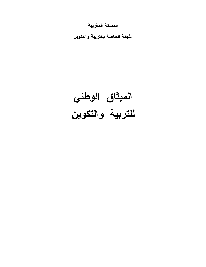المملكة المغربية

اللجنة الخاصة بالتربية والتكوين

الميثاق الوطني للتربية والتكوين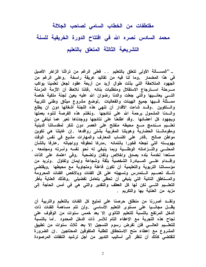# مقتطفات من الخطاب السامى لصاحب الجلالة محمد السادس نصره الله فى افتتاح الدورة الخريفية للسنة التشريعية الثالثة المتعلق بالتعليم

.. ''المســألـة الأولـى تتعلق بالتعليم . . فعلى الرغم من تراثنا الزاخر الأصيل في هذا المضمار ,وما لنا فيه من تقاليد عريقة راسخة ,وعلى الرغم من الجهود المتلاحقة التي بذلت طوال أزيد من أربعة عقود لجعل تعلمينا يواكب مسرحلة اسسترجاع الاستقلال ومتطلبات بنائه ٬فإننا نلاحظ أن الأزمة المزمنة التسى يعانسيها والتى جعلت والدنا رضوان الله عليه يعين لجنة ملكية خاصة ممــــثلة فــــيها جميع الـهيئات والفعاليات ٬لوضع مشروع ميثاق وطنى للتربية والستكوين .وقسد شاءت الأقدار أن تنهى هذه اللجنة أشغالها دون أن يطلع والسدنا المشمول برحمة الله على نتائجها .ونغتنم هذه الفرصة لننوه بعملها وبجهود كل أعضائها .وقد اطلعنا على نتائجها ووجدناها تعبر عما نبتغى من تعلسيم مسندمج مسع محيطه منفتح على العصر دون تنكر لمقدساتنا الدينية ومقوماتـــنا الحضارية وهويتنا المغربية بشتى روافدها .إن غايتنا هي تكوين مواطن صالح ,قادر على اكتساب المعارف والمهارات مشبع في نفس الوقت بهويسته التى تجعله فخورا بانتمائه ٬مدركا لحقوقه وواجباته ٬عارفا بالشأن المحلـــى والتـــزاماته الوطنـــية وبما ينبغى له نحو نفسه وأسرته ومجتمعه , مستعدا لخدمة بلده بصدق وإخلاص وتفان وتضحية ٬وفي اعتماد على الذات وإقسدام علسى المسبادرة الشخصية بثقة وشجاعة وإيمان وتفاؤل .ونريد من مؤسساتنا التربوية والتعليمية أن تكون فاعلة ومتجاوبة مع محيطها ,ويقتضى ذلـــك تعمـــيم الـــتمدرس وتسهيله على كل الفئات وبالأخص الفئات المحرومةً والمســناطق النـائيـة التي ينبغي أن تحظى بتعامل تفضيلي ,وكذلك الـعنايـة بأطر التعلــــيم التـــــي نكن لـها كل الـعطف والتقدير والتـي هي فـي أمس الـحاجـة إلـي مزيد من العناية بها والتكريم .

ولقـــد أصررنـا من منطلق حرصنـا على تمتيع كل الفئات بالتعليم والتربية أن يظـــل مجانــــيا علـى مستوى التعليم الأساسـى .ولن تتم مساهمة الفئات ذات الدخل المرتفع بالنسبة للتعليم الثانوى إلا بعد خمس سنوات من الوقوف على نجاح هذه التجربة مع الإعفاء التام للأسر ذات الدخل المحدود .أما بالنسبة للتعلـــيم الـعالــــي فلن تفرض رسوم التسجيل إلا بـعد ثلاث سنوات من تطبيق المشروع مع إعطاء منح الاستحقاق للطلبة المتفوقين المحتاجين .إن الضرورة لتقتضى كذلك أن ننظر إلى أساليب التدبير من أجل ترشيد النفقات المرصودة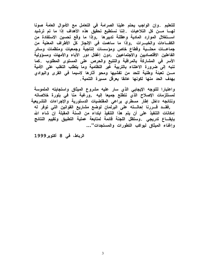للتعليم .وإن الواجب يحتم علينا الصرامة في التعامل مع الأموال العامة صونا لهـــا مـــن كل التلاعبات .إننا نستطيع تحقيق هذه الأهداف إذا ما تم ترشيد استغلال الموارد المادية وعقلنة تدبيرها ,وإذا ما وقع تحسين الاستفادة من الكفـــاءات والخبـــرات ,وإذا ما ساهمت في الإنجاز كل الأطراف المعنية من جماعـــات محلـــية وقطاع خاص ومؤسسات إنتاجية وجمعيات ومنظمات وسائر الفاعلين الاقتصاديين والاجتماعيين ,دون إغفال دور الآباء والأمهات ومسؤولية الأسر في المشاركة بالمراقبة والتتبع والحرص على المستوى المطلوب .كما ننبه إلى ضرورة الاعتناء بالتربية غير النظامية وما يتطلب التغلب على الأمية مـــن تعبئة وطنية للحد من تفشيها ومحو آثارها لاسيما فى القرى والبوادى بهدف الحد منها لكونها عائقا يعرفل مسيرة التنمية.

واعتبارا للتوجه الإيجابى الذي سار عليه مشروع الميثاق واستجابته الملموسة لمستلزمات الإصلاح الذي نتطلع جميعا إليه ٬ورغبة منا في بلورة خلاصاته ونتائجه داخل إطار مسطري يراعى المقتضيات الدستورية والإجراءات التشريعية ,فقــد قـــررنـا إحالـــته على البرلمان لوضع مشاريع القوانين التي توفر له إمكانات التنفيذ على أن يتم هذا التنفيذ ابتداء من السنة المقبلة إن شاء الله بإيقـــاع تدريجى .وستظل اللجنة فائمة لمتابعة عملية التطبيق وتقييم النتائج وإغناء الميثاق ليواكب التطورات والمستجدات''...

الرباط، في 8 أكتوبر1999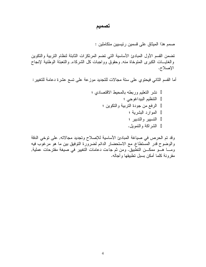# تصميم

صمم هذا الميثاق على قسمين رئيسيين متكاملين :

تضمن القسم الأول المبادئ الأساسية التي تضم المرتكزات الثابتة لنظام التربية والتكوين والغايـــات الكبرى المتوخاة منه, وحقوقٌ وواجبات كل الشركاء, والتعبئة الوطنية لإنجاح الإصلاح.

أما القسم الثاني فيحتوي على ستة مجالات للتجديد موزعة على تسع عشرة دعامة للتغيير :

وقد تم الحرص في صياغة المبادئ الأساسية للإصلاح وتجديد مجالاته, على توخي الدقة والوضوح قدر المستطاع, مع الاستحضار الدائم لضرورة التوفيق بين ما هو مرغوب فيه ومــــا هـــو ممكـــن النطبيق. ومن ثم جاءت دعامات النغيير في صيغة مقترحات عملية, مقرونة كلما أمكن بسبل نطبيقها وأجاله.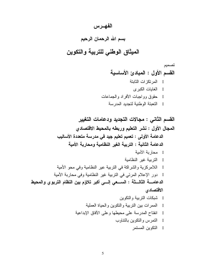## الفهرس

# بسم الله الرحمان الرحيم

# الميثاق الوطنى للتربية والتكوين

تصميم القسم الأول : المبادئ الأساسية المرتكزات الثابتة الغايات الكبرى حقوق وواجبات الأفراد والجماعات التعبئة الوطنية لتجديد المدر سة

القسم الثاني : مجالات التجديد ودعامات التغيير المجال الأول : نشر التعليم وربطه بالمحيط الاقتصادي الدعامة الأولى : تعميم تعليم جيد في مدرسة متعددة الأساليب الدعامة الثانية : التربية الغير النظامية ومحارية الأمية محاربة الأمية الترببة غبر النظامبة اللامركزية والشراكة في التربية عير النظامية وفي محو الأمية دور الإعلام المرئي في التربية غير النظامية وفي محاربة الأمية الدعامـــــــــة الثـالــــثــة : الســـــعى إلـــــى أكبر تـلاؤم بين النظام التربوي والمحيط الاقتصادي شبكات التربية والتكوين الممر ات بين التربية والنكوين والحياة العملية انفتاح المدرسة على محيطها وعلى الأفاق الإبداعية النمر س و النكوين بالنتاوب التكوين المستمر

5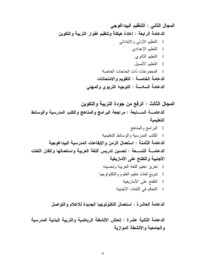الدعامة العاشرة : استعمال التكنولوجيا الجديدة للإعلام والتواصل

الدعامة الثانية عشرة : إنعاش الأنشطة الرياضية والتربية البدنية المدرسية والجامعية والأنشطة الموازية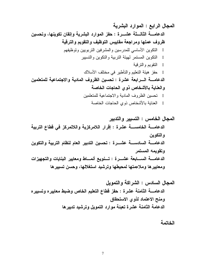الخاتمة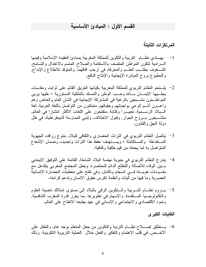#### القسم الأول : المبادئ الأساسية

#### المرتكز ات الثابتة

- l يهـــندى نظـــام النربية و النكوين للمملكة المغربية بمبادئ العقيدة الإسلامية وقيمها السرامية لتكون المواطن المتصف بالاستقامة والصلاح, المتسم بالاعتدال والتسامح, الشـــغوف بطلـــب العلـــم والمعرفة, في أرحب أفاقهما, والمنوفد للاطلاع والإبداع, والمطبوع بروح المبادرة الإيجابية والإنتاج النافع.
- 2- يلسنحم النظام النربوي للمملكة المغربية بكيانها العريق القائم على ثوابت ومقدسات يجلَّــ بِها الإيمـــان بـــالله وحـــب الوطن والنَّمسك بالملكية الدستورية ؛ عليها بربي المو الهـــــنون مشــــبعين بالرغبـة في المشاركـة الإيجابيـة في الشأن العام والخاص وهم واعـــون أتـــم الوعي بواجباتهم وحقوقهم, متمكنون من التواصل باللغة العربية, لغة الـــبلاد الرســـمية, تعبيـــرا وكتابة, متفتحون على اللغات الأكثر انتشارا في العالم, متشـــبعون بـــروح الحوار, وفبول الاختلاف, ونبني الممارسة الديمقراطية، في ظل دولة الحق والقانون.
- 3– يتأصل النظام التربوي في التراث الحضاري والثقافي للبلاد, بتنوع روافده الجهوية المستفاعلة والمستكاملة ؛ ويسستهدف حفظ هذا النراث وتجديده, وضمان الإشعاع المنواصل به لما يحمله من قيم خلقية وثقافية.
- 4— يندرج النظام النربوي في حيوية نهضة البلاد الشاملة, القائمة على النوفيق الإيجابي بــــين الوفاء للأصالة والنطلع الدائم للمعاصرة, وجعل المجتمع المغربي يتفاعل مع مقـــومات هويــــنه فــــي انسجام ونكامل, وفي نفتح علـى معطيات الحضـارة الإنسـانية العصر بة وما فيها من أليات و أنظمة تكرس حقوق الإنسان وتدعم كر امته.
- 5– يسروم نظـــام التـــــربية والــــنكوين الرقمي بالبلاد إلىي مستوى امتلاك ناصبية العلوم والتكنولوجـــيا المــــنقدمة, والإسهام في نطوير ها, بما يعزز قدرة المغرب النتافسية, ونموه الاقتصادي والاجتماعي والإنساني في عهد يطبعه الانفتاح على العالم.

#### الغابات الكبرى

الأخـــص, في قلب الاهتمام والنفكير والفعل خلال العملية التربوية التكوينية. وذلك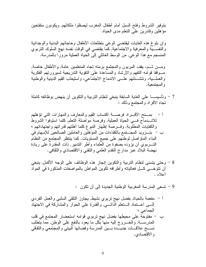بنوفير الشروط وفتح السبل أمام أطفال المغرب ليصقلوا ملكاتهم, ويكونون متفتحين مؤ هلين وقادر بن علي النعلم مدى الحياة.

وإن بلوغ هذه الغايات ليقتضىي الوعى بنطلعات الأطفال وحاجاتهم البدنية والوجدانية والنفســـية والمعرفية والاجتماعية, كما يقتضي في الوقت نفسه نهج السلوك التربوي المنسجم مع هذا الوعبي, من الوسط العائلي إلى الحياة العملية مرورًا بالمدرسة.

ومـــن ثـــم، يقف المربون والمـجتمع برمته تجاه المتعلمين عامة, والأطفال خاصـة, مسوقفا قوامه النفهم والإرشاد والمساعدة على النقوية الندريجية لسيرورتهم الفكرية والعملـــبة، ونتشـــئتهم علــــي الاندماج الاجتماعي، واستيعاب القيم الدينية والوطنية و المجتمعية.

- 7 وتأسيســــا علـي الـغايـة السابقة ينبغي لنظـام النزبيـة والنكوين أن ينـهض بوظائفه كـاملـة تجاه الأفر اد و المجتمع و ذلك :
- أ بمـــنح الأفـــراد فرصــــة اكتساب القيم والمعارف والمهارات التي تؤهلهم للانــــدماج فــــي الحياة العملية, وفرصة مواصلة النعلم, كلما استوفوا الشروط والكفايات المطلوبة, وفـــرصـة إظـهار النبوغ كلمـا أهلتهم قدراتهم واجتهاداتهم ؛ ب – بتـــزويد المجــــتمـع بـالكفاءات من المؤهلين والعاملين الصــالحين للإسهام في البناء المنواصل لوطنهم على جميع المسنويات. كما ينتظر المجتمع من النظام النَّـــربو ي أن يزوده بصفوة من العلماء وأطر النَّدبير , ذات المقدرة على ريادة نهضة البلاد عبر مدارج النقدم العلمي والنقنبي والاقتصادي والثقافي.
- 8 وحتى بتسنى لنظام التربية والتكوين إنجاز هذه الوظائف على الوجه الأكمل, ينبغي أن نتوخـــي كـــل فعالياته وأطرافه نكوين المواطن بالمواصفات المذكورة في المواد أعلاه .
	- 9 تسعى المدرسة المغربية الوطنية الجديدة إلى أن تكون :
- أ مفعمة بالحياة, بفضل نـهج تربوي نشيط, يـجاوز النلقـي السلبـي والـعمل الفردي إلـــي اعــــنمـاد الــــنـعلم الذاتـــــي, والقدرة علـي الـحوار والمشاركـة فـي الاجتـهاد الجماعى ؛ – مفتوحة على محيطها بفضل نهج تربوي قوامه استحضار المجتمع في قلب ب المدرســــة, والـخـــــروج إليه منـها بكل مـا يـعود بـالنفـع علـي الوطن, ممـا يتطلب نســـج علاقـــات جديـــدة بـــين المدرسة وفضائها البيئي والمجتمعي والثقافي و الاقتصادي.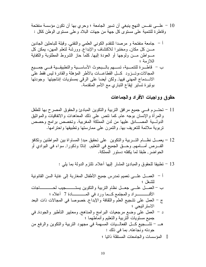10 – علـــي نفــس النهج ينبغي أن تسير الجامعة ؛ وحري بها أن تكون مؤسسة منفتحة وقاطرة للنتمية على مستوى كل جهة من جهات البلاد وعلى مستوى الوطن ككل :

حقوق وواجبات الأفراد والجماعات

- 11 تحتــــرم فــــي جميع مرافق التربية والتكوين المبادئ والحقوق المصرح بها للطفل والمرأة والإنسان بوجه عام, كما نتص على ذلك المعاهدات والانفاقيات والمواننيق الدولـــية المصــــادق عليها من لدن المملكة المغربية. وتخصص برامج وحصص تربوية ملائمة للتعريف بها, والنمرن على ممارستها وتطبيقها واحترامها.
- 12 يعمــــل نظـــــام التـــــــربية والنكوين ً علـي تحقيق مبدإ المساواة بين المواطنين ونكافؤ الفــــــرص أمــــــامـهم, وحــــــق الـجميع فــي النخليم, إنــاثـا وذكور ا, سواء فـي البوادي أو الحو اضر , طبقا لما بكفله دستور المملكة.
	- 13 تطبيقا للحقوق والمبادئ المشار إليها أعلاه, تلتزم الدولة بما يلي :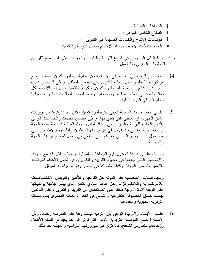الجماعات المحلبة ؛ القطاع الخاص المؤهل ؛ مؤسسات الإنتاج والخدمات المسهمة في التكوين ؛

- الجمعيات ذات الاختصاص أو الاهتمام بمجال التربية والنكوين.
- و مراقبة كل المسهمين في قطاع التربية والتكوين والحرص على احترامهم للقوانين والنتظيمات الجاري بها العمل.
- 14 للمجــــتمـع المغربــــي الحـــــق فـي الاستفادة من نظام للتربية والتكوين يحفظ ويرسخ مرتكزاته الثابتة, ويحقق غاياته الكبرى التي نتصدر الميثاق. وعلى المجتمع بدوره التجــند الـــدائم لــــرعاية التربية والتكوين, وتكريم القائمين عليهما، والإسهام بكل فعالـــباته فــــي توطيد نطاقهما وتوسيعه, , وخاصة منها الفعاليات المذكورة حقوقها وو اجباتها في المواد التالية.
- 15 –علـــي الجماعـــات المحلية نبويئ النربية والنكوين مكان الصدار ة, ضمن أولويات الشَّانِ الْجهوىِ أَوِ الْمُحْلِّي الَّتِّي نَعْنَى بِهَا. وعلى مجالس الجهات والجماعات الوعي بالدور الحاسم للتربية والنكوين, في إعداد النشء للحياة العملية المنتجة لفائدة الجهة أو الجماعــــة, وفــــي بث الأمل في نفوس أبـاء المنعلمين وأوليائـهم والاطمئنـان علـي مســــنقبل أبــــنائـهم, وبـالتـالــــي حفز هم علـي النفانـي فـي الـعمل لصــالـح از دهار الـجـهة و الجماعة.

وبسناء علـــي هــذا الوعي, نقوم الجماعات المحلية بواجبات الشراكة مع الدولة, والإســـهام إلــــي جانبها في مجهود النربية والنكوين, وفي نحمل الأعباء المرتبطة بالنعميم وتحسين الجودة, وكذا المشاركة في الندبير وفق ما جاء به الميثاق.

وللجماعـــات المحلـــبية على الدولة حق النوجيه والناطير ونفويض الاختصـاصـات اللامركــــزية واللامنمركزة, وحق الدعم المادي بالقدر الذي بيسر قيامها بواجباتها على الوجه الأمثل. ولها كذلك على المستفيدين من النربية والنكوين وعلى القائمين بهمـــا حـــق المعـــونـة النطوعية والنفانـي في العمل والعنايـة القصوى بالمؤسسات النر بوبة الجهوبة والجماعبة.

16 – علـــي الأبــــاء والأولياء الوعـي بأن النزبية ليست وقفا علـي المدرسة وحدها, وبأن الأســــرة هــــي المؤسسة التربوية الأولى التي تؤثر إلى حد بعيد في تتشئة الأطفال وإعدادهم للتمدرس الناجح, كما نؤثر في سيرورتهم الدراسية والمهنية بعد ذلك.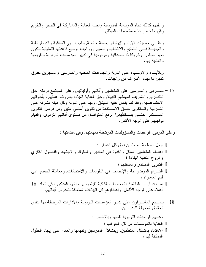وعليهم كذلك نجاه المؤسسة المدرسية واجب العناية والمشاركة في الندبير والنقويم وفق ما نتص عليه مقتضيات الميثاق.

وعلـــي جمعيات الأباء والأولياء, بصفة خاصة, واجب نهج الشفافية والديمقراطية والجديسة فسي التنظيم والانتخاب والنسيير, وواجب نوسيع قاعدتها التمثيلية لتكون بحق محاورا وشريكا ذا مصداقية ومردودية في ندبير المؤسسات النربوية ونقويمها و العناية بها.

و للأبساء و الأولسياء على الدولة و الجماعات المحلية و المدر سين و المسير بن حقوق تقابل ما لهذه الأطر اف من و اجبات.

17 – للمــــربين والمدرسين على المتعلمين وأبائهم وأوليائهم, وعلى المجتمع برمته, حق النكــــريم والنشريف لمهمتهم النبيلة, وحق العناية الجادة بظروف عملهم وبأحوالهم الاجتماعـــية, وفقا لما ينص عليه الميثاق. ولهم على الدولة وكل هيئة مشرفة على التسربية والستكوين حسق الاسستفادة من تكوين أساسى متين ومن فرص التكوين المســــنمر , حتــــي يســــنطيعوا الرفع المنواصل من مسنوى أدائـهم النزبوي, والقيام بو اجبهم على الوجه الأكمل.

وعلى المربين الواجبات والمسؤوليات المرنبطة بمهمتهم, وفي مقدمتها :

18 –يتمــتع المشـــرفون على ندبير المؤسسات التربوية والإدارات المرتبطة بها بنفس الحقو ق المخولة للمدر سين. و عليهم الو اجبات النر بو ية نفسها و بالأخص : العناية بالمؤسسات من كل الجوانب ؛ الاهتمام بمشاكل المتعلمين, وبمشاكل المدرسين ونفهمها والعمل علىي إيجاد الحلول الممكنة لها ؛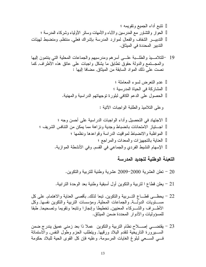نتبع أداء الجميع ونقويمه ؛ الحوار والنشاور مع المدرسين والأباء والأمهات وسائر الأولياء وشركاء المدرسة ؛ الندبيــــــر الشفاف والفعال لموارد المدرسة بإشراك فعلى, منتظم, ومنضبط لهيئات الندبير المحددة في الميثاق.

19 –للتلامـــيذ والطلـــبة علــــي أسرهم ومدرسيهم والجماعات المحلية التبي ينتمون إليها والمجسَّنمع والدولة حقوق نطابق ما بشكل واجبات على عاتق هذه الأطراف, كما نصت على ذلك المواد السابقة من الميثاق, مضافا إليها :

> عدم التعرض لسوء المعاملة ؛ المشاركة في الحياة المدرسية ؛ الحصول على الدعم الكافى لبلورة توجهاتهم الدراسية والمهنية.

> > و على التلاميذ والطلبة الواجبات الآتية :

التعبئة الوطنية لتجديد المدرسة

- 20 نعلن العشرية 2000–2009 عشرية وطنية للتربية والنكوين.
- 21 يعلن قطاع ا لنربية والنكوين أول أسبقية وطنية بعد الوحدة النرابية.
- 22 بحظـــي قطـــاع التـــر بية والتكوين, تبعا لذلك, بأقصبي العناية والاهتمام, علي كل مســـــتويات الدولـــــة, والجماعات المحلية, ومؤسسات التربية والتكوين نفسها, وكل الأطـــراف والشـــركاء المعنيين, تخطيطا وإنجازا وتتبعا ونقويما وتصحيحا, طبقا للمسوِّ ولبات و الأدوار المحددة ضمن المبثَّاق.
- 23 يقتضـــي إصــــلاح نظام النربية والنكوين عملا ذا بعد زمنـي عميق يندرج ضمن الســـيرورة الناريخية لنقدم البلاد ورقيها, وينطلب الحزم وطول النفس, والاستمانة في, السبعي لبلوغ الغايات المرسومة. وعليه فإن كل القوى الحية للبلاد حكومة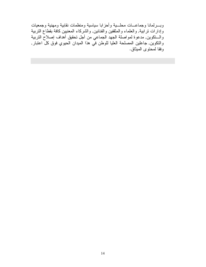وبسرلمانا وجماعسات محلسية وأحزابا سياسية ومنظمات نقابية ومهنية وجمعيات وْإدارَات نرَّابية, والعلماء والمثقفينَّ والفنانين, والشَّركاء المعنيين كافَّة بقطاع التربية .<br>والـــتكوين, مدعوة لمواصلة الجهد الجماعي من أجل تحقيق أهداف إصلاح التربية<br>والتكوين, جاعلين المصلحة العليا للوطن في هذا الميدان الحيوي فوق كل اعتبار, وفقا لمحتوى الميثاق.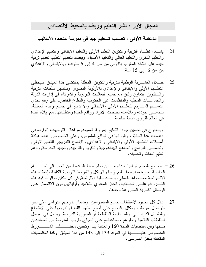## المجال الأول : نشر التعليم وربطه بالمحيط الاقتصادي

الدعامة الأولى : تعــميم تـــعليم جيد في مدرسة متعددة الأساليب

- 24 يشــمل نظـــام النربية والنكوين النعليم الأولىي والنعليم الابندائـي والنعليم الإعدادي والنعليم الثانوي والنعليم العالمي والنعليم الأصيل. ويقصد بنعميم النعليم, نعميم نربية جيدة على ناشئة المغرب بالأولى من سن 4 إلى 6 سنوات وبالابتدائـي والإعدادي من سن 6 إلى 15 سنة.
- 25 خــــلال العشــــرية الوطنية للتربية والتكوين, المعلنة بمقتضى هذا الميثاق, سيحظى النعلــبم الأولى والابندائي والإعدادي بالأولوية القصوى, وسنسهر سلطات النربية والسنكوين, بنعاون وثيق مع جميع الفعاليات النربوية والشركاء في إدارات الدولة والجماعـــات المحلية والمنظمات غير الحكومية والقطاع الخاص, على رفع تحدي النعمــــيم الســـــريع للنعلــــيم الأولـي والابندائـي والإعدادي فـي جميع أرجاء المملكة, بتحســـين جودته وملاءمته لحاجات الأفراد وواقع الحياة ومتطلباتها, مع إيلاء الفتاة في العالم القروى عناية خاصة.

ويسندرج في تحسين جودة التعليم, بموازاة تعميمه, مراعاة التوجهات الواردة في دعامات هذا الميثاق، وبلورتها في الواقع الملموس، وعلى الخصوص إعادة هيكلة أســــلاك النعلـــيم الأولـي والابندائـي والإعدادي, والإدماج الندريجي للنعليم الأولـي, وتحســـين البر امج والمناهج البيداغوجية والنقويم والنوجيه, وتجديد المدرسة, ودعم تعليم اللغات وتحسينه.

- 26 يصــــبح التعليم الزلميا ابتداء مـــــــن تمام السنة السادسة من العمر إلىي تمــــــــــام الخامسة عشرة منه, تبعا لنقدم إرساء الهياكل والشروط النربوية الكفيلة بإعطاء هذه الإلـــــز امية محـــــــنو اها العملــي. ويستند نتفيذ الإلز امية, فــي كل مكان نو افرت فيه هذه الشــــــروط, علــــــي الـجــــذب والـحفز المعنوي للتلاميذ وأوليائـهم, دون الاقتصــار علــي الوسائل القسرية المشروعة وحدها.
- منواصل, مواظب ومكلل بالنجاح على أوسع نطاق, للقضاء ندريجيا على الانقطاع والفشـــل الدراســــي, والمــــنابعة المنقطعة أو الصورية للدراسة. ويدخل في عوامل استقطاب التلاميذ وحفزهم ومساعدتهم على النجاح, تقريب المدرسة من المُستفيدين المنصوص عليــــــــها في المواد 139 إلى 143 من هذا الميثاق, وكذا المقتضيات المتعلقة بحفز المدر سين.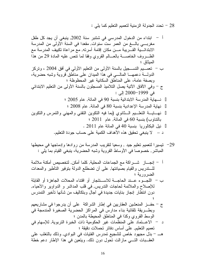28 – تحدد الجدولة الزمنية لتعميم التعليم كما يلي :

29− نيسيرا لنعميم نعليم جيد , وسعيا لنقريب المدرسة من روادها وإدماجها في محيطها المباشر, خصوصاً في الأوساط القروية وشبه الحضرية، ينبغي القيام بما يلي :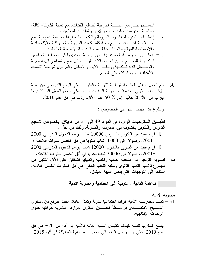30 – يتم العمل, خلال العشرية الوطنية للنربية والنكوين, على الرفع الندريجي من نسبة الأشــخاص ذوي المؤهلات المهنية الوافدين سنويا على سوق الشغل المشكلين ما يقرب من % 20 حاليا إلى % 50 على الأقل, وذلك في أفق عام 2010.

ولَّبِلُوغِ هَذَا الْهَدْف, يَنْمَ عَلَى الْخَصُوصِ :

محارية الأمية 31 – نعــد محاربـــة الأمية الزاما اجتماعيا للدولة وتمثل عاملا محددا للرفع من مستوى النســـبج الاقتصــــادي بواســـطة تحســـين مستوى الموارد البشرية لمواكبة تطور الوحدات الإنتاجية.

يضع المغرب لنفسه كهدف نقليص النسبة العامة للأمية إلى أقل من 20% في أفق عام 2010، على أن تتوصل البلاد إلى المحو شبه التام لهذه الآفة في أفق 2015.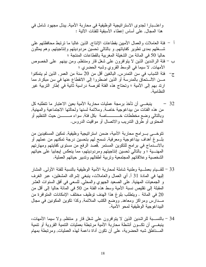واعتــبارا لجدوى الاستراتيجية الوظيفية في محاربة الأمية, يبذل مجهود شامل في هذا المجال, على أساس إعطاء الأسبقية للفئات الآتية :

- أ فئة العاملات والعمال الأمبين بقطاعات الإنتاج, الذين غالبا ما نرتبط محافظتهم على شـــغلهم بمدى نطوير كفاياتهم, و بالنالي نحسين مردوديتهم وإنناجيتهم, وهم بمثلون حاليا 50 في المائة من الشغيلة المغربية بالقطاعات المنتجة ؛
- ب فئة الراشدين الذين لا يتوافرون على شغل قار ومنتظم, ومن بينهم ً على الخصوص الأمهات, لا سيما في الوسط القروي وشبه الحضري ؛
- ج– فئة الشباب في سن التمدرس, البالغين أقل من 20 سنة من العمر, الذين لم يتمكنوا مـــن الالــــتحاق بالمدرسة أو الذين اضطروا إلى الانقطاع عنها في سن مبكرة, مما ارند بهم إلى الأمية ؛ وتحتاج هذه الفئة لفرصة دراسية ثانية في إطار التربية غير النظامية.
- ينبغــــى أن تأخذ بر مجة عمليات محار بة الأمية بعين الاعتبار ما تتطلبه كل  $-32$ من هذه الفئات من بيداغوجية خاصة, وملائمة لسنها ولحالتها الاجتماعية والمهنية, وبالنالي وضع مخططات خـــــــــــــاصة بكل فئة, سواء مـــــــــــن حيث النتظيم أو المحتوى أو طرق الندريب والاتصال أو مواقيت الدروس.

تتوخـــي بــــرامج محاربة الأمية، ضمن استراتيجية وظيفية, تمكين المستفيدين من بلـوغ أهداف بيداغوجية ومعرفية, تسمح لمهم بتحسين درجة تمكنهم من عملهم أو بالانـــــدماج في برامج للتكوين المستمر ,قصد الرفع من مستوى كفايتهم ومهارتهم المهنــــية ؛ و بالنالـي نحسين إنتاجيتهم ومردوديتهم، مما ينعكس إيجابيا علـي حياتهم الشخصية وعلاقاتهم المجتمعية وتربية أطفالهم وتدبير حياتهم العملية.

- 33 للقـــيام بعملـــية وطنية شاملة لمحاربة الأمية الوظيفية بالنسبة للفئة الأولى, المشار الِنِها في المادة 31 أ, أي العمال والعاملات، ينبغي إشراك المشغلين، عبر الغرف و الجمعيات المهنية, على الصعيد الجهوي والمحلي, للسعي في أفق السنوات العشر المقبلة إلى نقليص نسبة الأمية وسط هذه الفئة من 50 في المائة حاليا إلى أقل من 20 في المائة . ويتطلب بلوغ هذا الهدف توظيف مختلف الإمكانات المتوافرة من مـــدارس ومراكز ومعاهد, ووضع الكتب الملائمة, وكذا تكوين المكونين في مجال البيداغو جية الو ظيفية لمحو الأمية.
- 34 بالنســـبة للراشدين الذين لا يتوافرون على شغل قار و منتظم, ولا سيما الأمهات، ينبغـــي أن تكـــون أنشطة محاربة الأمية مرتبطة بعمليات التنمية القروية أو تتمية المـــناطق شبه الحضرية، على أن تكون أداة داعمة لـهذه العمليات, ومرتبطة بمهام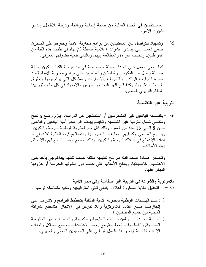المســــنفيدين في الحياة العملية من صحة إنجابية ووقائية, وتربية للأطفال, وتدبير لشؤون الأسرة.

35 – وتسهيلا للنواصل بين المستفيدين من برامج محاربة الأمية وحفزهم على المثابرة, ينبغي العمل على إصدار نشرات إعلامية مبسطة للإسهام في تثقيف هذه الفئة من المواطنين, وتحبيب القراءة والمطالعة إليهم, وبالتالي نتمية فضولهم المعرفي.

كما ينبغي العمل على إصدار مجلة متخصصة في بيداغوجية الكبار, تكون بمثابة صـــــلة وصل بين المكونين والباحثين والساهرين على برامج محاربة الأمية, قصد بلورة النجارب الرائدة, والنعريف بالإنجازات والمشاكل النبي بواجهونها وبطرق السنغلب علسيها، وكذا فتح أفاق البحث و الدرس والاجتهاد في كل ما يتعلق بهذا النظام النربوي الخاص.

#### التربية غير النظامية

36 –بالنســـبة لليافعين غير المنمدرسين أو المنقطعين عن الدراسة, يلزم وضـع برنـامج وطنسي شامل للتربية غير النظامية ونتفيذه, يهدف إلىي محو أمية اليافعين والبالغين مــــن 8 إلـــــي 16 سنة من العمر ، وذلك قبل منم العشر بـة الوطنية للنر بية والنكوين. ويلـــزم الســـعي لإكسابهم المعارف الضرورية وإعطائهم فرصة ثانية للاندماج أو إعادة الاندماج في أسلاك التربية والتكوين, وذلك بوضع جسور تسمح لهم بالالتحاق بهذه الأسلاك.

وتجـــدر إفــــادة هــــذه الفئة ببرامج تعليمية مكثفة حسب تنظيم بيداغوجي يأخذ بعين الاعتـــبار خاصياتها, ويعالج الأسباب التبي حالت دون دخولها المدرسة أو عزوفها المبكر عنها.

اللامركزية والشراكة في التربية غير النظامية وفي محو الأمية 37 – لتحقيق الغاية المذكورة أعلاه، ينبغي نبني استراتيجية وطنية متماسكة قوامها :

دعــم الهيـــئات الوطنية لمحاربة الأمية المكلفة بتخطيط البرامج والإشراف على إنجاز هــــا, مــــع اعتماد اللامركزية واللا تمركز فـي الإنجاز ۖ بتشجيع الشراكة المحلية بين جميع المتدخلين ؛ تعبَّــئة المـــدار س و المؤسســـات التعليمية و التكوينية, و المنظمات غير الحكومية المعنــــية, والفعالــــيات المحلــــية, مع رصد الاعتمادات ووضـع الـهياكل وإحداث الأليات اللازمة لإنجاز هذا العمل الوطنبي على الصعيدين المحلبي والجهوي.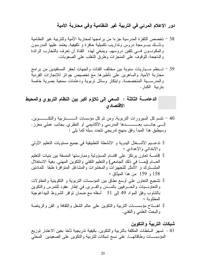دور الإعلام المرئي في التربية غير النظامية وفي محاربة الأمية

39 – تـــنظم مــــباريات سنوية بين مختلف الفئات والجهات لحفز المستفيدين من برامج محاربة الأمية, والساهرين على تأطيرها, مع تخصيص جوائز للإنجازات الفردية والمدرســـية المتخصصة, وابتكار وسائل نربوية ودعامات سمعية بصرية خاصة بتر ببة الكبار .

الدعامـــــة الثّالثة : السعي إلى تلاوًم أكبر بين النظام التربوي والمحيط الاقتصادى

ندعـــيم الأشــــغال اليدوية و الأنشطة التطبيقية في جميع مستويات التعليم الأولمي والابتدائي والإعدادي ؛ إقامــــة تعاون بر تكز على اقتسام المسؤولية وممارستها المنسقة بين بنيات التعليم العــــام (بمــــا في ذلك الجامعي) والنعليم النقنـي والنكوين المـهنـي, بـغية الاستغلال المشـــنزك و الأمثل للتجهيزات والمختبرات والمشاغل المنوافرة طبقا للمادنين 158 و 159 من هذا الميثاق ؛ تشجيع التعاون على أوسع نطاق بين المؤسسات التربوية و التكوينية والمقاولات والنعاونـــيات والـصـــرفيين بالمــــدن والقــــري, فـي إطـار عقود للنمرس والنكوين بالنتاوب وفق المواد 49 إلى 51 أسفله مع ضمان نوافر الشروط البيداغوجية المطلوبة ؛ انفـــتـاح مؤسســــات النربية والنكوين علـي عالم الشغل والنقافة و الفن والرياضة والبحث العلمي والنقنبي.

شبكات التربية والتكوين 41 - تسهر السلطات المكلفة بالنربية والنكوين, بكيفية تدريجية تأخذ بعين الاعتبار توزيع المؤسســـات وطاقاتهــــا, على نسج شبكات للتربية والتكوين على الصعيدين المحلي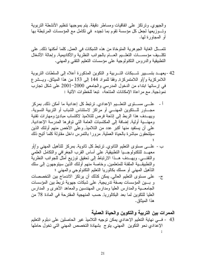والجهوي, ونرنكز على انفاقيات ومساطر دقيقة, يتم بموجبها نتظيم الأنشطة التربوية وتسوزيعها لجعل كل مؤسسة تقوم بما تجيده ۖ في تكامل مع المؤسسات المرتبطة بها أو المجاور ة لمها.

تتمــــثل الغاية الـجو هرية المتوخاة من هذه الشبكات في العمل, كلما أمكنها ذلك, علي نكلَّـــبف مؤسســـات النّعلـــيم العـــام بالـجوانب النظرية والأكاديمية, وإحالة الأشغال التطبيقية والدروس التكنولوجية على مؤسسات النعليم النقني والمهني.

- 42 -يعهــد بنســـبير شـــبكات النـــربية و النكوين المذكورة أعلاه إلى السلطات النربوية اللامركزية و/أو اللامتمركزة, وفقا للمواد 144 إلى 153 من هذا الميثاق. ويـــشر ع في إرسائها ابتداء من الدخول المدرسي والجامعي 2000–2001 على شكل نجارب نموذجية, مع مراعاة الإمكانات المتاحة، تبعا للخطوات الأتية :
- أ علـــي مســـتو ي النعلـــيم الإعدادي, ترتبط كل إعدادية ما أمكن ذلك, بمركز مجـــاور للـــنكوين المهنـــي أو مراكز لاستئناس الشباب أو التربية النسوية. ويهـــدف هذا الربط إلى إتاحة فرص للتلاميذ لاكتساب مبادئ ومهارات تقنية ومهنسية أولية, إضافة إلى المكتسبات العامة التي توفرها المدرسة الإعدادية, على أن يستفيد منها أكبر عدد من التلاميذ, وعلى الأخص منهم أولئك الذين سبلتحقون مباشرة بالحباة العملية, مرورا بالنمرس داخل مقاولة كلما أتبح ذلك
- ب علـــي مستوى التعليم الثانوي, تر تبط كل ثانوية, بمر كز للتأهيل المهني و /أو معهــد للنكنولوجـــيا النطبيقية, على أساس القرب الجغرافي والنكامل العلمي والنقنسي. ويهــدف هــذا الارتباط إلى تحقيق توزيع أمثل للجوانب النظرية والتطبيقـــية الملقنة للمتعلمين, وخاصة منهم أولئك الذين سيتوجهون إلى سلك النَّاهيل المهنى أو مسلَّك بكالوريا النَّعليم النَّكنولوجي والمهنى ؛
- ج- على مستوى التعليم العالي, يمكن كذلك أن يرتكز الاندماج بين التخصصات و بسين المؤسسات بصفة تدريجية, على شبكات جهوية تربط بين المؤسسات الجامعـــية والمدارس العليا ومدارس المهندسين والمعاهد الأخرى و المدارس العليا للنكوين لما بعد البكالوريا, حسب المنهجية المقترحة في المادة 78 من هذا المبثاق.

الممرات بين التربية والتكوين والحياة العملية

43 - فـــي نـهاية التعليم الإعدادي يمكن توجيه التلاميذ غير الـحاصلين علـي دبلوم التعليم الإعدادي نحو النكوين المهنى, يتوج بشهادة التخصص المهنى التي تخول حاملها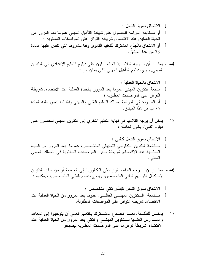44 - يمكــــن أن يــــوجه التلامــــيذ الحاصــــلون علـي دبلوم النعليم الإعدادي إلـي النكوين المهني, يتوج بدبلوم التأهيل المهني الذي يمكن من :

45 - يمكن أن يوجه التلاميذ في نهاية التعليم الثانوي إلى التكوين المهني للحصول على دبلوم "تقنى", يخول لحامله :

الالتحاق بسوق الشغل كتقنى ؛ مـــتابعة التكوين التكنلوجي التطبيقي المتخصص، عموما بعد المرور من الحياة العملـــبة عند الاقتضاء, شريطة حيازة المواصفات المطلوبة في المسلك المهنى المعنى.

46 - يمكـــن أن يـــوجه الحاصــــلون على البكالوريا إلى الجامعة أو مؤسسات النكوين لاستكمال تكوينهم التقني المتخصص، ويتوج بدبلوم التقني المتخصص، ويمكنهم :

الالتحاق بسوق الشغل كإطار نقنى متخصص ؛ مــــتابعة الــــنكوين المهنــــي العالـــــي, عموما بعد المرور من الحياة العملية عند الاقتضاء, شريطة التوافر على المواصفات المطلوبة.

47 - يمكـــن للطلـــبـة, بعـــد الجـــذع المشــــترك بالنعليم العالمي أن يتوجهوا إلـي المعاهد والمسدارس العلسيا للسنكوين المهنسي والنقني بعد المرور من الحياة العملية عند الاقتضاء, شريطة نوافر هم على المواصفات المطلوبة ليصبحوا :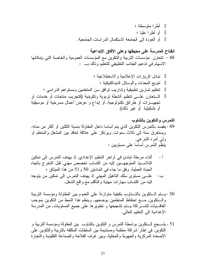## التمرس والتكوين بالتناوب 49 -يقصد بالنمرس النكوين الذي يتم أساسا داخل المقاولة بنسبة الثلثين أو أكثر من مدنه, ويستغرق سنة إلىي ثلاث سنوات, ويرتكز على علاقة تعاقد بين المشغل والمنعلم أو ولىي أمره الشرعبي. ينظَّم التَّمرس أساسا على مستويين :

- أثناء مرحلة تبتدئ في أواخر التعليم الإعدادي, إذ يهدف التمرس إلى تمكين  $-1$ التلامــــيذ المتوجهــــين إليه من اكتساب تخصص مهنى, قبل التخرج باتجاه الحياة العملية, وفق ما جاء في المادنين 50 و 51 من هذا الميثاق ؛ علـــي مسنوى سلك النأهيل المهنى إذ يهدف النمرس إلى نمكين من يتوجه  $-\hookrightarrow$ إليه من اكتساب مهارات مهنية والتأقلم مع واقع الشغل.
- 50 -يستم الستكوين بالتسناوب بكيفية متوازنة على العموم بين المقاولة ومؤسسة التربية والستكوين, مسع احتفاظ المتعلمين بوضعهم. وينظم هذا النمط من التكوين بموجب اتفاقــــيات للشــــــراكة يـــــتم تشجيعها و تطويرها علــى جميع المستويات, من المدرسة الإعدادية إلى التعليم العالمي.
- 51 يشــــجع الــــنكوين بواسطة النمرس و النكوين بالنتاوب بين المقاولة ومؤسسة النزبية و النكوين, في إطار شراكة منظمة ومستديمة بين السلطات المكلفة بالتربية والنكوين على الأصعدة المركزية والجهوية والمحلية, وبين غرف الفلاحة والصناعة التقليدية والتجارة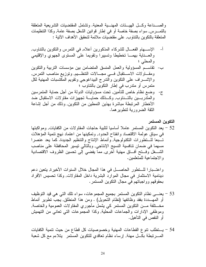والصسـناعة وكسل الهيسئات المهنسية المعنية. وتشتمل المقتضبيات النشريعية المنعلقة بالنَّمـــــرس, سواء بصفة خاصة أو في إطار قوانين الشغل بصفة عامة, وكذا النَّنظيمات المتعلقة بالنكوين بالنتاوب, على مقتضيات ملائمة لتحقيق الأهداف الآتية :

- الإســــهام الفعـــال للشركـاء المذكورين أعلاه, فـي النمرس والنكوين بالنتـاوب,  $-1$ والعسناية بهمسا تخطيطا ونسييرا ونقويما على المسنوى الجهوي والإقليمي و المحلي ؛
- ب- نقاســم المسؤولية والعمل المنسق المنضامن بين مؤسسات النربية والنكوين ومقـــاولات الاســـنقبال فــــى مجـــالات التنظـــيم, ونوزيع مناصب النمرس, والإشـــــراف على النكوين والندرج البيداغوجي ونقويم المكتسبات المهنية لكل متمرس أو متدرب في إطار التكوين بالتناوب ؛
- ج- وضع نظام خاص للتأمين, تحت مسؤوليات الدولة من أجل حماية المتمرسين والمندربسين بالتسناوب, وكسذلك حمايسة تجهيزات مقاولات الاستقبال ضد الأخطار المرتبطة مباشرة بهذين النمطين من النكوين, وذلك من أجل إشاعة الثقة الضرورية لتطوير هما.

التكوين المستمر

52 – يعد التكوين المستمر عاملاً أساسياً لتلبية حاجات المقاو لات من الكفايات, ومو اكبتها في سياق عولمة الاقتصاد وانفتاح الحدود, وتمكينها من اعتماد نهج تتمية المؤهلات تـــبعا للـــنطورات النكنولوجية, وأنماط الإنتاج والتنظيم الجديدة. كما يعد عنصرا مسهما في ضمان نتافسية النسيج الإنتاجي, وبالنالي نيسير المحافظة على مناصب الشـــغل وفـــنح أفـــاق مـهنية أخرى, ممـا يفضـي إلـى نـحسين الظروف الاقتصـادية و الاجتماعية للمتعلمين.

واعتـــبارا للـــنطور الحاصــــل في هذا المجال خلال السنوات الأخيرة, يتعين دعم دينامية الاستثمار في مجال الموارد البشرية داخل المقاولات, وكذا تحسيس الأفراد بحقو فهم و و اجباتهم في مجال النكو بن المستمر .

53 – يعنـــي نظام النكوين المسنمر بجميع المجموعات، سواء نلك النبي هي قيد النوظيف أو المهـــددة بفقد وظائفها (نظام النحويل) . ومن هذا المنطلق, يجب نطوير أنماط مخــــنلفة مــــن النكوين المستمر كـي يشمل مأجوري المقاولات العمومية والخاصـة, وموظفى الإدارات والجماعات المحلية, وكذا المجموعات التي تعانى من التهميش أو النقص في التأهيل.

54 – يستطلب نتوع القطاعات المهنية وخصوصيات كل قطاع من حيث نتمية الكفايات المسرتبطة بكـــل مهنة, إرساء نظام تعاقدي للتكوين المستمر يتلاءم مع كل شعبة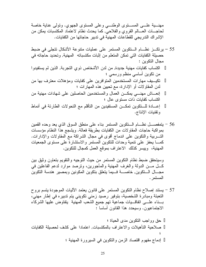مهنـــبة علـــي المســـنوى الوطنــــي وعلـي المسنوى الجهوي. ونولـي عناية خاصة لحاجسات العسالم القروى والفلاحي, كما يحدث نظام لاعتماد المكتسبات بمكن من الإشراك التدريجي للقطاعات المهنية في ندبير حاجاتها من الكفايات.

- 55 يرتكـــز نظــــام الـــتكوين المستمر على عمليات متنوعة الأشكال تتجلى في ضبط حصبلة الكفايات التي تمكن المتعلم من إثبات مكتسباته المهنية, وتحديد حاجاته في مجال النكوين : اكتساب كفايات مهنية جديدة, من لدن الأشخاص ذوي التجربة, الذين لم يستفيدوا من نكوين أساسي منظم ورسمي ؛ تكيـــيف مهارات المستخدمين المتوافرين على كفايات ومؤهلات معترف بها من لدن المقاولات أو الإدارة، مع تحيين هذه المهارات ؛ إنعـــاش مهنــــي بمكـــن العمال والمستخدمين الحاصلين علـي شهادات مهنية من اكتساب كفايات ذات مستوى عال ؛ إعسادة للـــنكوين تمكـــن المستفيدين من التأقلم مع التحولات الطارئة في أنماط ونقنيات الإنتاج.
- 56 يتمفصـــــل نظـــــام الــــنكوين المستمر بنـاء علــى منطق السوق الذي يـعد وحده القمين بمو اكبة حاجات المقاولات من الكفايات بطريقة فعالة. ويشجع هذا النظام مؤسسات النـــــــربية والنكوين علــي اندماج أقوى فـي مجال الشراكـة مـع المقاولات والإدارات. كمسا يحفز على نتمية وحدات للنكوين المستمر والاستشارة على مستوى الجمعيات المهنية، وييسر كذلك الاعتراف بموقع العمل كمجال للتكوين.

وسيتحقق ضبط نظام النكوين المستمر من حيث النوجيه والنقويم بنعاون وثيق بين كـــل مــــن الدولة والغرف المهنية والمأجورين، ونرصد موارد لدعم الفاعلين في مجــــال الــــنكوين, خاصـــــة فــــيمـا يتعلق بتكوين المكونين وبمصبر هندسة التكوين المستمر .

57 – يستند إصلاح نظام النكوين المستمر على قانون يعتمد الأليات الموجودة يتسم بروح النعبئة ومبادرة الشخصية، بتوفير رصيد زمني نكويني يتم ندبيره في إطار مهني، بسناء علسي اتفاقسيات جماعية تهم جميع الشعب المهنية يتفاوض عليها الشركاء الاجتماعيون. وسيحدد هذا القانون أساسا :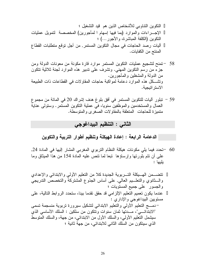النكوين النتاوبي للأشخاص الذين هم قيد التشغيل ؛ الإجــــراءات والموارد (بما فيها إسهام ا لمأجورين) المخصصة لتمويل عمليات النكوين (الكلفة المباشرة، و الأجور ...) ؛ آليات رصد الحاجات في مجال النكوين المستمر٬ من أجل نوقع منطلبات القطاع المنتج من الكفايات.

- 58 –تمنح لتشجيع عمليات النكوين المستمر موارد قارة مكونة من معونات الدولة ومن جزءً من رسَّم النكوين المهني. ونشرف على ندبير هذه الموارد لجنة ثلاثية نتكون من الدولة والمشغلين والمأجورين. ونشـــكل هذه الموارد دعامة لمواكبة حاجات المقاولات في القطاعات ذات الطبيعة الأستر اتبجبة.
- 59 تبلور أليات للتكوين المستمر في أفق بلوغ هدف إشراك 20 في المائة من مجموع العمال والمستخدمين والموظفين سنويا، في عملية النكوين المستمر . وستولَّى عناية منميزة للحاجات المنعلقة بالمقاولات الصغرى والمنوسطة.

## الثاني : التنظيم البيداغوجي

الدعامة الرابعة : إعادة الـهيكلة وتنظيم أطوار التربية والتكوين

60 –تحدد فيما يلي مكونات هيكلة النظام التربوي المغربي المشار إليها في المادة 24, علَّمي أن نتم بلورتها وإرساؤها نبعا لما نتص عليه المادة 154 من هذا الميثاق وما يليها :

نتضــمن الـهـــيكلة التـــربوية الـجديدة كلا من النعليم الأولمي والابندائي والإعدادي والسثانوي والنعلسيم العالمي, على أساس الجذوع المشتركة والتخصص الندريجي والجسور على جميع المسنويات ؛ عندما يكون تعميم التعليم الإلزامي قد حقق تقدما بينا، ستحدد الروابط التالية، على مستويين البيداغوجي والإداري : –دمــــج التعليم الأولىي والتعليم الابتدائي لتشكيل سيرورة تربوية منسجمة تسمى "الابتدائــــي"، مــــدتها ثمان سنوات ونتكون من سلكين : السلك الأساسبي الذي سيشمل النعليم الأولى، والسلك الأول من الابندائـي، من جهة، والسلك المنوسط الذي سيتكون من السلك الثاني للابندائي، من جهة ثانية ؛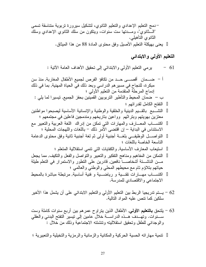التعليم الأولي والابتدائي

يرمي النعليم الأولي والابندائي إلى نحقيق الأهداف العامة الأننية :  $-61$ 

- 62 يستم ندريجيا الربط بين النعليم الأولمي والنعليم الابندائي علىي أن يشمل هذا الأخير سلكين كما نتص عليه المواد التالية.
- 63 يلتحق **بالتعليم الأولي**, الأطفال الذين يتراوح عمرهم بين أربع سنوات كاملة وست والوجداني للطفل وتحقيق استقلاليته وتتشئته الاجتماعية وذلك من خلال :

نتمية مهار اته الحسية الحركية والمكانية والز مانية والر مزية والتخيلية والتعبيرية ؛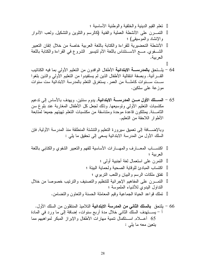نعلم القيم الدينية والخلقية والوطنية الأساسية ؛ النَّمــــرن علـى الأنشطة العملية والفنية (كالرسم والنَّلوين والنَّشكيل, ولعب الأدوار والإنشاد والموسيقى) ؛ الأنشطة التحضيرية للقراءة والكتابة باللغة العربية خاصة من خلال إنقان التعبير الشَّــفوي, مـــع الاســـنئنـاس باللُّغة الأم لنيسير الشروع في القراءة والكتابـة باللُّغة العر ببة.

- 64 يلــــتحق **بالمدرســـــة الابتدائيـة ا**لأطفال الوافدون من التعليم الأولـي بمـا فيه الكتاتيب القــــرأنية. وبصفة انتقالية الأطفال الذين لم يستفيدوا من التعليم الأولـي والذين بلغوا ســـت ســـنو ات كاملـــــة من الـعمر . يستغرق النعلم بالمدرسة الابتدائية ست سنوات موز عة على سلكين.
- 65 ا**لســــلك الأول مــــن المدرســــة الابتد**ائ**ية**, يدوم سنتين. ويهدف بالأساس إلى تدعيم مكتسبات النعليم الأولى وتوسيعها, وذلك لجعل كل الأطفال المغاربة عند بلوغ سن الثامـــنة, يمتلكون قاعدة موحدة ومتناسقة من مكتسبات التعلم تهيئهم جميعا لمتابعة الأطوار اللاحقة من التعليم.

وبالإضــــافة إلى تعميق سيرورة التعليم والتتشئة المنطلقة منذ المدرسة الأولية, فإن السلك الأول من المدرسة الابندائية يسعى إلى تحقيق ما يلي :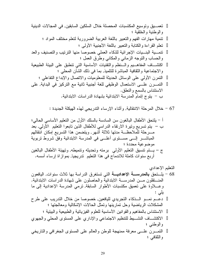67 – خلال المرحلة الانتقالية, وأثناء الإرساء الندريجي لهذه الهيكلة الجديدة :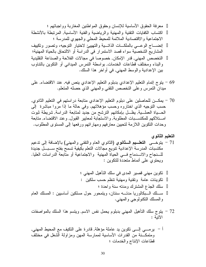معرفة الحقوق الأساسية للإنسان وحقوق المواطنين المغاربة وواجباتهم ؛ اكتساب الكفايات النقنية والمهنية والرياضية والفنية الأساسية, المرتبطة بالأنشطة الاجتماعية والاقتصادية الملائمة للمحيط المحلي والجهوى للمدرسة ؛ إنضـــاج الوعـــي بالملكـــات الذاتـــية والتهييئ لاختيار النوجيه، وتصور وتكييف المشاريع الشخصية سواء قصد الاستمرار في الدراسة أو الالتحاق بالحياة المهنية؛ التخصص المهني, قدر الإمكان, خصوصا في مجالات الفلاحة والصناعة التقليدية والبناء ومختلف قطاعات الخدمات, بواسطة النمرس الميداني أو النكوين بالنناوب بين الإعدادية والوسط المهنى, في أواخر هذا السلك.

- 69 يتوج إتمام التعليم الإعدادي بدبلوم التعليم الإعدادي ينص فيه, عند الاقتضاء, على مبدان النمرس وعلى النخصص النقنبي والمهنى الذي حصله المنعلم.
- 70 يمكـــن للحاصلين على دبلوم النعليم الإعدادي منابعة دراستهم في النعليم الثانوي, حسب التوجيه الذي اختاروه وحسب مؤهلاتهم. وفي حالة ما إذا مروا مباشرة إلى الحــــباة العملــــبة, يظــــل بـإمكانهم النرشح من جديد لمنابعة الدراسة, شريطة ثبوت امـــتلاكهم للمكتســـبات المطلوبة, والاستجابة لمعايير القبول, وعند الاقتضاء, متابعة وحدات النكوين اللازمة لتحيين معارفهم ومهاراتهم ورفعها إلىي المستوى المطلوب.
- التعليم الثانوي 71 – يتوخـــي ا**لتعلـــيم الـــثانوي (**الثانوي العام والنقنبي والمـهنبي) بـالإضـافة إلـي تدعيم مكتسبات المدرسة الإعدادية نتويع مجالات النعلم بكيفية نسمح بفتح ســـبـــل جديدة للسنجاح والانسدماج فسي الحياة المهنية والاجتماعية أو متابعة الدراسات العليا. ويحتوى على أنماط متعددة للتكوين :

72 – يتوج سلك التأهيل المهنبي بدبلوم يحمل نفس الاسم, ويتسم هذا السلك بالمواصفات الأتبة :

أ – يرمـــي إلـــي نكوين يد عاملة مؤهلة, قادرة على النكيف مع المحيط المهني, ومتمكـــنة من القدرات الأساسية لممارسة المهن ومزاولة الشغل في مختلف قطاعات الإنتاج والخدمات ؛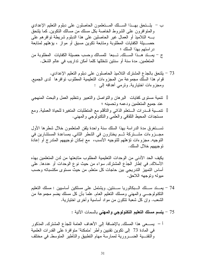73 – يلتحق بالجذع المشترك التلاميذ الحاصلون على دبلوم التعليم الإعدادي. قوام هذا السلك مجموعة من المجزوءات التعليمية المطلوب نوافرها لدى الجميع, ومجزوءات اختيارية, ونرمي أهدافه إلى :

نتمية مستوى كفايات البرهان والنواصل والنعبير ونتظيم العمل والبحث المنهجى عند جميع المتعلمين ودعمه وتحسينه ؛ نتمــــية قــــدرات الــــنعلم الذاتـي والتأقلم مـع المنطلبات المتغيرة للحياة العملية, ومـع مستجدات المحبط الثقافي والعلمي والنكنولوجي والمهنى.

تســــنغر في مدة الدر اسة بـهذا السلك سنة و احدة يلقن المتعلمون خلال شطر ها الأول مجـــزوءات مشــــتركة ثـــم يختارون فـي الشطر الثانـي, بمساعدة المستشارين فـي التوجيه, مجزوءات نؤهلهم للتوجيه الأنسب، مع إمكان توجيههم المتدرج أو إعادة نوجيههم خلال السلك.

يكيف الحد الأدنى من الوحدات التعليمية المطلوب متابعتها من لدن المتعلمين بهذه الأسلاك, في إطار الجذع المشترك, سواء من حيث نوع الوحدات أو عددها, على أساس التمييز الندريجي بين حاجات كل متعلم, من حيث مستوى مكتسباته وحسب ميوله وتوجهه اللاحق.

- 74 بِمسنَّد سسلك السبكالوريا سسنتين, ويشتمل على مسلكين أساسبين : مسلك التعليم النكنولوجـــي والمـهنـي ومسلك النعليم الـعام, علمـا بـأن كل مسلك يضم مجموعة من الشعب. وإن كل شعبة نتكون من مواد أساسية وأخرى اختيارية.
	- 75 يتسم مسلك التعليم التكنولوجي والمهنى بالسمات الآتية :

أ – يســـعي هذا المسلك, بالإضافة إلى الأهداف العامة للجذع المشترك, المذكور في المادة 73 إلى نكوين نقنيين وأطر "متمكنة" منو افرة على القدرات العلمية والنقنــــبة الضــــــرورية لممارسة مهام النطبيق والنأطير المنوسط, في مختلف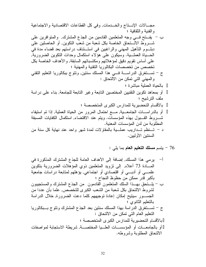76 - يتسم **مسلك التعليم العام** بما يلي :

أ– يرمي هذا المسلك, إضافة إلى الأهداف العامة للجذع المشترك المذكورية بتكوين الملادة 73 أعلام, إلى تزويد المتملمن. وي المؤهلات الحرورية بتكوين جلمعية فرائصي أو اقتصادي أو اجتماعي, يؤهله متابعة دراسات جامعية بكيرق و أিس تحفولظ النجاح ؛ و العستجييون باتحق بهـذا السلك المتملون قنانومون من الجذع المشترك والمستحييون باتحول الالتحاق بكل شعبه من الشعب الكبرى للتخصص, علما بان عددا من إلتطيم الأناتوي ؛ و مكان إعادة توجيههم كلما دعت الحرورة, خلال الدراسة بالاتطيم الأانوي ؛
$$
-
$$
 تستغرق الدراسة بهذا المسلك سنتين بعد الجذع المشترك وتتوج بـبكالوريا التطيم التطيم التطيم التلامة بهذا المسلك سنتين بعد الجذع المشترك وتتوج بـبكالوريا التطيم العام التي تمکن من الألتحاق :  
واو بالجامعـات أو المؤسسـات العلـيا المختصصة ؛  
أو بالجامعـات أو المؤسسـات العلـيا المختصـة, شريطة الاستجابة لمو اصفات أو المؤسسـات العلـيا المختصـة, شريطة الاستجابة لمو اصفات أو المؤسِسـات العلـيا المختصـة, شريطة الاستجابة لمو اصفات  
الاتحاق المطلوية وشروطه.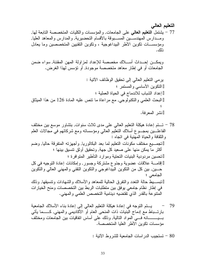ويمكــن إحــداث أســـلاك مخصصة للإعداد لمزاولة المهن المقننة, سواء ضمن الجامعات أو في إطار معاهد متخصصة موجودة, أو نؤسس لهذا الغرض.

80 - تستجيب الدراسات الجامعية للشروط الأتية :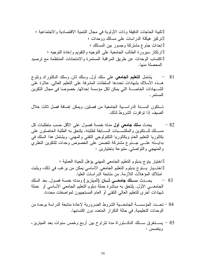يشتمل ا**لتعليم الجامعي** على سلك أول, وسلك ثان, وسلك الدكتوراة, وتتوج 81 هــذه الأسلاك بشهادات تحددها السلطات المشرفة على النعليم العالمي, علاوة على المستمر .

تــنكون الســـنة الدراســـية الجامعية من فصلين, ويمكن إضـافة فصل ثالث خلال الصيف إذا نوافرت الشروط لذلك.

يحدث **سلك جامعي أول** مدته خمسة فصول على الأقل حسب منطلبات كل  $-82$ مســـلك للـــنكوين والمكتسّــــبات الســــابقة لطلبته. يلتحق به الطلبة الحاصلون علمي بكالوريا النعليم العام وبكالوريا النكنولوجي النقنى والمهنى. ويشتمل هذا السلك في بدايــــته علــــي جــــذوع مشتركة تتضمن علـي الخصوص وحدات للتكوين النظري و المنهجي و النو اصلي, منبو عة باختيار بن :

اختيار يتوج بدبلوم التعليم الجامعي المهنى يؤهل للحياة العملية ؛ اختـــيار يـــتوج بدبلوم التعليم الجامعي الأساسي يمكن من يرغب في ذلك، ويثبت امتلاك المؤهلات اللازمة, من متابعة الدر اسات العليا.

- 83 يحـــدث ســــلك جامعــــي ثــــان (الميتريز) ومدته خمسة فصول, بعد السلك الجامعـــي الأول. يلتحق به مباشرة حملة دبلوم النعليم الجامعي الأساسي أو حملة شهادات أخرى للتعليم العالمي التقنبي أو العام المستجيبون لمواصفات محددة.
- 84 –تحـــدد المؤسســـة الجامعـــية الشروط الضرورية لإعادة متابعة الدراسة بوحدة من الوحدات التعليمية, في حالة النكرار المتعدد دون اكتسابها.
- 85 يســــتغرق ســــلك الدكــــتوراة مدة نتراوح بين أربـع وخمس سنوات بعد الميتريز ، ويتضمن :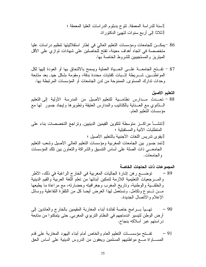- 86 –يمكــن للجامعات ومؤسسات التعليم العالمي في إطار استقلاليتها تنظيم در اسات عليا متخصصة في اتجاه أهداف معينة، تفتح للحاصلين على شهادات توازي على الأقل المبتريز والمستجيبين للشروط الخاصة بها.
- 87 تفـــنح الجامعــــة علــــي الـحــــياة العملية ويسمح بالالنحاق بها أو العودة إليها لكل المواطَّنــــين, شــــريطة اِثـــــبات كفايات محددة بدَّقة، ومقومة بشكل جيد, بعد منابعة وحدات تدارك المستوى, الممنوحة من لدن الجامعات أو المؤسسات المرتبطة بها.

تفـــتح مؤسســــات التعليم العام والخاص أمام أبنـاء اليهود المغاربـة علـي قدم  $-91$ المســـــاواة مـــــع مواطنيهم المسلمين ويعفون من الدروس الدينية علـي أساس الحق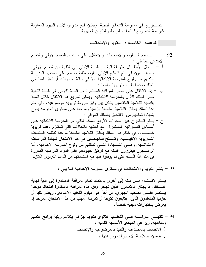الدســـــنوري في ممارسة الشعائر الدينية. ويمكن فتح مدارس لأبناء اليهود المغاربة شريطة التصريح لسلطات التربية والتكوين الجهوية.

الدعامة الخامسة : التقويم والامتحانات

- يسنظم الستقويم والامتحانات والانتقال, علىي مستوى التعليم الأولىي والتعليم  $-92$ الابتدائی کما بلی : أ – ينـــنقل الأطفـــال بطريقة ألية من السنة الأولى إلى الثانية من التعليم الأولى, ويخضــــعون في متم النعليم الأولى لنقويم طفيف ينظم على مستوى المدرسة يمكنهم من ولوج المدرسة الابتدائية, إلا في حالة صعوبات أو تعثر استثنائي يتطلب دعما نفسيا ونربويا خاصا ؛ ب — يتم الانتقال على أساس المر اقبة المستمر ة من السنة الأولى إلى السنة الثانية مـــن السلك الأول بالمدرسة الابندائية, ويمكن نسريع هذا الانتقال خلال السنة بالنسبة للتلاميذ المنقدمين بشكل بين وفق شروط تربوية موضوعية. وفي متم هذا السلك يجتاز التلاميذ امتحانا الزاميا وموحدا على مستوى المدرسة يتوج بشهادة تمكنهم من الالتحاق بالسلك الموالي ؛ ج – يستم السندرج عبر السنوات الأربع للسلك الثاني من المدرسة الابتدائية على
- أســـــاس المــــــــر اقبة المستمرة, مـع الـعناية بـالـحالات التـي تستلزم دعمـا تربويـا خاصــــا. وفي ختام هذا السلك يجتاز التلاميذ امتحانا موحدا نتظمه السلطات التــــربوية الإقليمــــية. وتمــــنح للناجحــــين في هذا الامتحان شهادة الدراسات الابندائــــية, وهــــي الشـــــهادة النـــــي نمكنـهم من ولو ج المدرسة الإعدادية. أما الراســبون فيكررون السنة مع تركيز جهودهم على المواد الدراسية المقررة في متم هذا السلك التي لم يوفقوا فيها مع استفادتهم من الدعم التربوي اللازم.

93 – ينظم النقويم والامتحانات في مستوى المدرسة الإعدادية كما يلي :

يستم الانستقال مسن سنة إلى أخرى باعتماد نظام المراقبة المستمرة إلى غاية نهاية الســــلك, إذ يجتاز المتعلمون الذين نجحوا وفق هذه المراقبة المستمرة امتحانا موحدا يسنظم علـــي الصعيد الجهوى, من أجل نيل دبلوم النعليم الإعدادي. ويعفي كليا أو جزئيا المتعلمون الذين يتابعون تكوينا أو تمرسا مهنيا من هذا الامتحان الموحد إذ يعو ض باختبار ات مهنية خاصة.

94 – نتتهـــي الدراســــة فـــي النعلــــيم الثانوي بنقويم جزائي يتلاءم وبنية برامج النعليم ومناهجه, وير اعي المبادئ الأساسية التالية : الاتصاف بالمصداقية والنقيد بالموضوعية والإنصاف ؛ ضمان صلاحبة الاختبار ات ونز اهتها ؛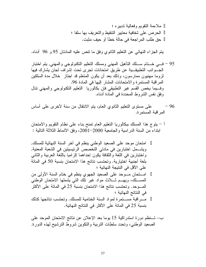ملاءمة النقويم وفعالية ندبيره ؛ الحرص على شفافية معابير التنقيط والنعريف بها سلفا ؛ حق طلب المر اجعة في حالة خطأ أو حيف مثبت.

يتم الجزاء النهائي عن النعليم الثانوي وفق ما نتص عليه المادتان 95 و 96 أدناه.

- 95 فـــي خــــتام ســــلك التأهيل المـهنـي ومسلك التعليم التكنولوجي والمـهنـي, يتم اختبار الجسوانب النطبيقسية عن طريق امتحانات نجرى نحت إشراف لجان بشارك فيها لزوما مهنيون ممارسون، وذلك بعد أن يكون المنعلم قد اجتاز ً خلال مدة السلكين المراقبة المستمرة والامتحانات المشار إليها في المادة 96. وفسيما يخص القسم غير التطبيقي فإن بكالوريا النعليم النكنولوجي والمهنى نتال وفق نفس الشروط المحددة في المادة أدناه.
- على مسنَّوى النَّعليم الثَّانوي العام، بنم الانتقال من سنة لأخرى على أساس - 96 المر اقبة المستمرة.
- أ بِتوج هذا المسلك ببكالوريا النعليم العام تمنح بناء على نظام النقويم والامتحان ابنداء من السنة الدر اسية و الجامعية 2000–2001، وفق الأنماط الثلاثة التالية :

امتحان موحد على الصعيد الوطني ينظم في أخر السنة النهائية للمسلك, ويشـــمل اختبارين في مادتي التخصص الرئيسيتين في الشعبة المعنية, واختبارين في اللغة والثقافة يكون إحداهما إلزاميا باللغة العربية والثانبي بلغة أجنبية اختيارية. وتحتسب نتائج هذا الامتحان بنسبة 50 في المائة على الأقل في النتيجة النهائية ؛ امـــنحان مـــوحد على الصعيد الجهوي ينظم في ختام السنة الأولى من المســـلك، ويهـــم شـــلاث مواد غير نلك التبي بشملها الامتحان الوطنبي المــــوحد. وتحتسب نتائج هذا الامتحان بنسبة 25 في المائة على الأكثر في النتائج النهائية ؛ مـــــــــر اقبة مســــــنمر ة لمو اد السنة الـختامية للمسلك. و تـحتسب نتائجها كذلك بنسبة 25 في المائة على الأكثر في النتائج النهائية.

ب– تـــنظم دورة استدراكية 15 يوما بعد الإعلان عن نتائج الامتحان الموحد على الصعيد الوطني، وتحدد سلطات التربية والتكوين شروط الترشيح لمهذه الدورة.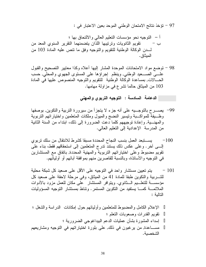97 – تؤخذ نتائج الامتحان الوطني الموحد بعين الاعتبار في :

98 – نوضع مواد الامتحانات الموحدة المشار إليها أعلاه وكذا معايير التصحيح والقبول علـــي الصــــعيد الوطنبي, وينظم إجراؤها علـي المستوى الجهوي والمحلبي, حسب الحـــالات, بمساعدة الوكالة الوطنية للنقويم والنوجيه المنصوص عليها في المادة 103 من الميثاق حالما تشرع في مزاولة مهامها.

الدعامة السادسة : التوجيه التربوي والمهنى

- 99− يصـــــــرح بالنوجـــــيه على أنه جزء لا يتجزأ من سيرورة النربية والنكوين, بوصفها وظــيفة للمواكــبة ونيسير النضج والميول وملكات المتعلمين واختياراتهم النزبوية والمهنَّـــبة, وإعادة توجيههم كلَّما دعت الضرورة إلى ذلك، ابتداء من السنة الثانية من المدرسة الإعدادية إلى النعليم العالمي.
- يستبعد العمل بنسب النجاح المحددة مسبقا كشرط للانتقال من سلك تربوي  $-100$ إلـــي أخر . وعلى عكس ذلك يستند ندرج المتعلمين إلى استحقاقهم فقط، بناء على تقويم مضبوط وعلى اختيار اتهم التربوية والمهنية المحددة, باتفاق مع المستشارين في النوجيه والأساتذة، وبالنسبة للقاصرين منهم بموافقة أبائهم أو أوليائهم.
- يتم تعيين مستشار واحد في التوجيه على الأقل على صعيد كل شبكة محلية  $-101$ للتسريبة والتكوين طبقا للمادة 41 من الميثاق، وفي مرحلة لاحقة على صعيد كل مؤسســـة للنعلـــيم الـــثانوي. ويتوافر المستشار على مكان للعمل مزود بالأدوات الملائمــــة كمـــــا يستفيد من النكوين المستمر . ونتـاط بمستشار التوجيه المسؤوليات التالبة :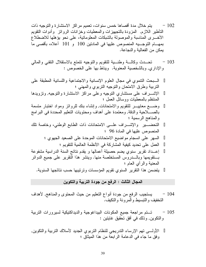تحسدث وكالسة وطنسية للنقويم والنوجيه نتمنع بالاستقلال النقني والمالي  $-103$ والإداري, وبالشخصية المعنوية. ويناط بها على الخصوص :

#### المجال الثالث : الرفع من جودة التربية والتكوين

- يستجيب الرفع من جودة أنواع التعليم من حيث المحتوى والمناهج, لأهداف  $-104$ التخفيف والتبسيط والمر ونة والتكيف.
- تستم مراجعة جميع المكونات البيداغوجية والديداكتيكية لسيرورات النربية  $-105$ وِ النَّكوينِ, وذلك في أفقٍ تحقيقٍ غايتينٍ :

الأولـــي تهم الإرساء التدريجي للنظام النربوي الجديد لأسلاك النربية والنكوين, وفق ما جاء في الدعامة الرابعة من هذا الميثاق ؛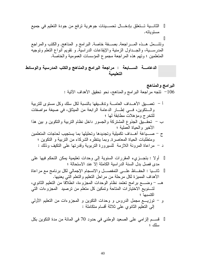ونَشْـــمل هـــذه المـــــراجعة, بصــــفة خاصـة, البرامج و المناهج, والكتب والمراجع المدرســـية، والجـــداول الزمنية والإيقاعات الدراسية, و نقويم أنواع النعلم ونوجيه المتعلمين ؛ وتهم هذه المراجعة مجموع المؤسسات العمومية والخاصة.

الدعامــــة الســـــابعة : مراجعة البرامج والمناهج والكتب المدرسية والوسائط التعليميه

> البرامج والمناهج 106 - نتجه مراجعة البرامج والمناهج، نحو نَحقيق الأهداف الأُتية :

أ – تعصـــبق الأهـــداف الـعامــــة وتدقـــبقها بـالنسبة لكل سلك وكل مسنوى للنربية والستكوين، فسي إطـــار الدعامة الرابعة من الميثاق، في صيغة مواصفات للتخرج ومؤهلات مطابقة لها ؛ ب – تحقـــبق الجذوع المشتركة والجسور داخل نظام التربية والتكوين و بين هذا الأخير والحياة العملية ؛ ج – صـــباغة أهــداف تكميلية وتجديدها وتحليلها بما يستجيب لحاجات المتعلمين ومنطلبات الحياة المعاصرة, وبما ينتظره الشركاء من النربية و النكوين ؛ د – مراعاة المرونة اللازمة للسيرورة النربوية وقدرتها على النكيف وذلك : أولا : بتجـــزيء المقررات السنوية إلى وحدات تعليمية يمكن التحكم فيها على مدى فصل بدل السنة الدر اسية الكاملة إلا عند الاستحالة ؛ ثانـــيا : الحفـــاظ علــــي التمفصــــل والانسجام الإجمالي لكل برنامج مع مراعاة الأهداف المميزة لكل مرحلة من مراحل النعليم والنعلم النبي يعنيها. هـــ – وضـــــع برامج نعتمد نظام الوحدات المـجزوءة، انطلاقا من النعليم الثانوي، لتَسنويع الاختيارات المتاحة وتمكين كل متعلَّم من ترصيد المجزوءات التبي اكتسىها ؛ و – نوزيــــع مجمل الدروس و وحدات النكوين و المجزوءات من التعليم الأولـي إلىي النعليم الثانوي على ثلاثة أقسام منكاملة :

قســـم الزامـي علـي الصـعيد الوطنـي فـي حدود 70 فـي المـائـة من مدة النكوين بكل بىداك ؛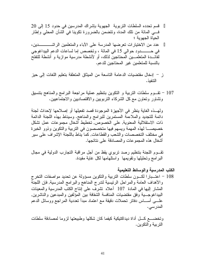قسم تحدده السلطات التربوية الجهوية بإشراك المدرسين في حدود 15 إلى 20 فـــي المائة من نلك المدة، ونتضمن بالضرورة نكوينا في الشأن المحلي وإطار الحداة الحهوية ؛ لفائـــدة المتعلمـــين المحتاجين لذلك، أو لأنشطة مدرسية موازية و أنشطة للتفتح بالنسبة للمتعلمين غير المحتاجين للدعم.

- ز إدخال مقتضيات الدعامة التاسعة من الميثاق المتعلقة بتعليم اللغات إلى حيز التنفيذ .
- 107 تقــوم سلطات التربية و التكوين بتنظيم عملية مراجعة البرامج والمناهج بتنسيق ونتشاور ونعاون مع كل الشركاء النربويين والاقتصاديين والاجتماعيين.

ولهــذه الغاية ينظر في الأجهزة الموجودة قصد تفعيلها أو إصلاحها لإحداث لجنة دائمة للتجديد والملاءمة المستمرين للبرامج والمناهج. وسيناط بهذه اللجنة الدائمة ذات الاستقلالية المعنوية, على الخصوص, تخطيط أشغال مجموعات عمل تشكل خصيصــــا لهذه المهمة ويسهم فيها متخصصون في التربية والتكوين وذوو الخبرة في مختلف التخصصات والشعب والقطاعات, كما بناط باللجنة الإشراف على سبر أشغال هذه المجموعات والمصادقة على نتائجها.

تقـــوم اللجنة بتنظيم رصد تربوي يقظ من أجل مراقبة التجارب الدولية في مجال البرامج وتحليلها ونقويمها واستلهامها لكل غابة مفيدة.

الكتب المدرسية والوسائط التعليمية 108 – اعتـــبارا لكـــون سلطات النربية والنكوين مسؤولة عن نحديد مواصفات النخرج والأهداف العامة والمراحل الرئيسية لندرج المناهج والبرامج المدرسية, فإن اللجنة المشار إليها في المادة 107 أعلاه نشرف على إنتاج الكتب المدرسية والمعينات البيداغوجـــية وفق مقتضيات المنافسة الشفافة بين المؤلفين والمبدعين والناشرين, علــــي أســــــاس دفـاتر تـحملات دقيقة مـع اعتمـاد مبدأ تـعدديـة المـراجـع ووسـائل الدعم المدر سي .

ونخضـــع كـــل أداة ديداكتيكية كيفما كان شكلها وطبيعتها لزوما لمصـادقة سلطات التر ببة و التكوين.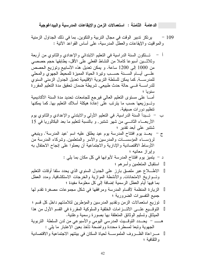الدعامة الثامنة : استعمالات الزمن والإيقاعات المدرسية والبيداغوجية

- يرتكز تدبير الوقت في مجال التربية والتكوين, بما في ذلك الجداول الزمنية  $-109$ والمواقيت والإيقاعات والعطل المدرسية، على أساس القواعد الأنية :
- تستكون السنة الدراسية في التعليم الابتدائي والإعدادي والثانوي من أربعة وثلاثــــين أسبوعا كاملا من النشاط الفعلي علـي الأقل، يطابقها حجم حصصـي من 1000 إلى 1200 ساعة. و يمكن تعديل هذه الأسابيع وتوزيع الحصص علسى أبسام السسنة حسب ونيرة الحياة المميزة للمحيط الجهوي والمحلبي للمدرســــة, كما يمكن للسلطة النزبوية الإقليمية تعديل الجدول الزمني السنوى للدراســـــــــن فــــــي حالــة حدث طبيعــي, شريطــة ضمــان نـحقيق مدة النعليم المقررة سنوبا ؛ أمـــــا علـى مستوى التعليم العالـي فيرجع للجامعات تحديد مدة السنة الأكاديمية وتـــوزيعها حسب ما يترتب علـي إعادة هيكلة أسلاك التعليم بـها, كما يمكنها تنظيم دور ات صيفية. ب – تـــبدأ السنة الدراسية, في النعليم الأولىي والابندئي والإعدادي والثانوي يوم الأربعـــاء الثانــــي من شهر شتنبر, و بالنسبة لتعليم ما بعد البكالوريا في 15 شنتبر على أبعد تقدير ؛ ج – يعـــد يوم افتتاح المدرسة يوم عيد يطلق عليه اسم "عيد المدرسة". وينبغي لرؤســـاء المؤسســـات والمدرسين والأسر والمتعلمين, وشركاء المدرسة من الأوساط الاقتصادية والإدارية والاجتماعية أن يعملوا على إنجاح الاحتفال به وإبراز معانيه ؛ د – يتميز يوم افتتاح المدرسة لأبوابها في كل مكان بما يلي : استقبال المتعلمين وأسرهم ؛ الاطـــــلاع عبر ملصق بارز على الجدول السنوي الذي يحدد سلفا أوقات النعليم وتسواريخ الامتحانات, والأنشطة الموازية والخرجات الاستكشافية, ومدد العطل بما فيها أيام العطل الرسمية إضافة إلى كل معلومة مفيدة ؛ الزيارة المنظمة لأقسام المدرسة ومرافقها في شكل مجموعات مصغرة نقدم لها جميع النفسيرات الضرورية ؛ نوزيع استعمالات الزمن ونقديم المدرسين والمؤطرين لتلامذتهم داخل كل قسم ؛ النوفــيع علـــي الالتـــزامات الخلقية والسلوكية المقررة في القسم الأول من هذا المبثاق وتسليم الوثائق المتعلقة بها بصورة رسمية وعلنية. هــــــــ – يحـــدد التوقـــيت المدرسي اليومي والأسبوعي من لدن السلطة التربوية الجهوية ونبعا لمسطرة محددة وواضحة نأخذ بعين الاعتبار ما يلبي : مــــر اعاة الظــــر و ف الملموســــة لـحياة السكان في بيئتهم الاجتماعية و الاقتصــادية و الثقافية ؛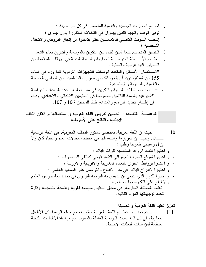الدعامــــــة التاسعة : تحسين تدريس اللغة العربية و استعمالها و إتقان اللغات<br>الأجنبية والتفتح على الأمازيغية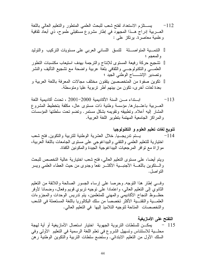بســــتلزم الاستعداد لفتح شعب للبحث العلمي المتطور والتعليم العالمي باللغة  $-112$ العـــــــربية إدراج هــــذا المـجهود فــي إطـار مشروع مستقبلــي طموح، ذي أبـعاد ثقافية وعلمية معاصرة. برتكز على:

النتمــية المنواصـــلة للنسق اللساني العربي على مسنويات النركيب والنوليد والمعجم ؛ تشجيع حركة رفيعة المستوى للإنتاج والترجمة بهدف استيعاب مكتسبات التطور العلمــــي والنكنولوجــــي والثقافـي بلغة عربية واضحة مع نشجيع النأليف والنشر وتصدير الإنتــــــاج الوطني الجيد ؛ تكوين صفوة من المتخصصين يتقنون مختلف مجالات المعرفة باللغة العربية و بعدة لغات أخر ي، نكون من بينهم أطر تربوية عليا ومتوسطة.

- ابستداء مسن السنة الأكاديمية 2000–2001 ، تحدث أكاديمية اللغة  $-113$ العسريبية باعتسبار ها, مؤسسة وطنية ذات مستوى عال، مكلفة بتخطيط المشروع المشار إليه أعلاه, وتطبيقه وتقويمه بشكل مستمر وتضم تحت سلطتها المؤسسات و المر اكز الجامعية المهتمة بنطوير اللغة العربية.
- تنويع لغات تعليم العلوم و التكنولوجيا يستم ندريجسيا, خلال العشرية الوطنية للتربية والنكوين, فتح شعب  $-114$ اختيارية للتعليم العلمى والنقنبي والبيداغوجي على مستوى الجامعات باللغة العربية، مو از اة مع نو افر المرجعيات البيداغوجية الجيدة والمكونين الكفاة.

ويتم أيضـا، علـى مستوى التعليم الـعالـي، فتح شعب اختيارية عالية التخصص للبحث والسنكوين باللغسة الأجنبسية الأكثس نفعا وجدوى من حيث العطاء العلمي ويسر التو اصل.

وفسي إطار هذا النوجه, وحرصا على إرساء الجسور الصالحة واللائقة من النعليم الثانوي إلى النعليم العالي، واعتمادا على نوجيه نربوي قويم وفعال، وضمانا لأوفر حظــوظ النجاح الأكاديمي والمهنبي للمتعلمين، يتم ندريس الوحدات والمجزوءات العلمــــية والنقنــــية الأكثر تخصصا من سلك البكالوريا باللغة المستعملة في الشعب والتخصصات المناحة لتوجيه التلاميذ إليها ًفي التعليم العالي.

التفتح على الأمازيغية يمكـــن للسلطات النربوية الجهوية اختيار استعمال الأمازيغية أو أية لهجة  $-115$ محلَّـــبة للاستئناس وتسهيل الشروع في تعلَّم اللَّغة الرسمية في التعليم الأولى وفي السلك الأول من النعليم الابتدائي. وستضع سلطات النربية والنكوين الوطنية رهن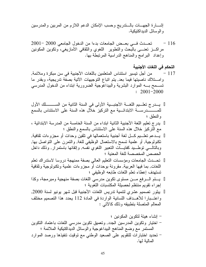إشــــارة الجهــــات بالــــندريج وحسب الإمكان الدعم اللازم من المربين والمدرسين و الو سائل الديداكتيكية.

تحـــدث فـــى بعـــض الجامعات بدءا من الدخول الجامعي 2000 -2001  $-116$ مراكـــز تعنــــى بالبحث والنطوير اللغوي والنقافي الأمازيغي، ونكوين المكونين وإعداد البرامج والمناهج الدراسية المرتبطة بها.

من أجل نيسير استئناس المتعلمين باللغات الأجنبية في سن مبكرة وملائمة,  $-117$ وامستلاك ناصبتها فيما بعد, يتم اتباع التوجيهات الأتية بصفة تدريجية، وبقدر ما نســـمح بــــه الموارد البشرية والبيداغوجية الضرورية ابنداء من الدخول المدرسي  $: 2001 - 2000$ 

يـــدرج تعلـــيم اللغــــة الأجنبـــية الأولىي في السنة الثانية من الســــــــــلك الأول و النطق ؛ يدرج تعليم اللغة الأجنبية الثانية ابتداء من السنة الخامسة من المدرسة الابتدائية ، مع التركيز خلال هذه السنة على الاستئناس بالسمع والنطق ؛ يـــدعم نعلـــيم كـــل لغة أجنبية باستعمالها في نلقين وحدات أو مجزوءات ثقافية, نكنولوجية, أو علمية نسمح بالاستعمال الوظيفي للغة, والنمرن على النواصل بها, وبالنالسي نوطـــيد كفايــــات النعبير اللغوي نفسه, وإنقانها باستمرار, وذلك داخل الحصص المخصصة للغة المعنية ؛ تحسدث الجامعات ومؤسسات التعليم العالى بصفة ممنهجة دروسا لاستدراك تعلم اللغات, بما فيها العربية, مقرونة بوحدات أو مجزوءات علمية وتكنولوجية ونقافية نستهدف إعطاء نعلم اللغات طابعه الوظيفي ؛ يستم السرفع مسن مستوى تكوين مدرسي اللغات بصفة منهجية ومبرمجة، وكذا إجراء نقويم منتظم لحصبلة المكتسبات اللغوية ؛ يبلور تصميم عشري لتتمية تدريس اللغات الأجنبية قبل شهر يونيو لسنة 2000, واعتــبارا للأهــداف اللسانية الواردة في المادة 112 يحدد هذا التصميم مختلف المعالم المتصلة بتطبيقه وذلك كالأتي : – إنشاء هيئة لنكوين المكونين ؛

– اختيار وتكوين المدرسين الجدد, وتعميق تكوين مدرسي اللغات باعتماد التكوين المستمر مع وضع المناهج البيداغوجية والوسائل الديداكتيكية الملائمة ؛ – تحديد اختبارات للنقويم على الصعيد الوطني مع نوقيت نتفيذها ورصد الموارد المالية لها.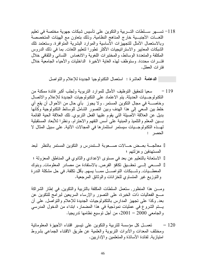118– تســــهر ســــلطات التـــربية والتكوين على تأسيس شبكات جهوية مختصة في تعليم اللغـــات الأجنبـــية خارج المناهج النظامية, وذلك بتعاون مع الهيئات المتخصصة وبالاستعمال الأمثل للتجهيزات الأساسية والموارد البشرية المتوافرة. وستعتمد نلك الشبكات المعابير والاستراتيجيات الأكثر نطورا لنعليم اللغات, بما في ذلك الدروس المكثفة والمتعددة الوسائط، والمختبرات اللغوية والانغماس اللسانبي والثقافي خلال فتسرات محددة. وستوظف لهذه الغاية الأخيرة الداخليات والأحياء الجامعية خلال فتر ات العطل.

ا**لدعامة** العاشرة : استعمال النكنولوجيا الجديدة للإعلام والنواصل

سعيا لتحقيق التوظيف الأمثل للموارد النربوية ولجلب أكبر فائدة ممكنة من  $-119$ النكنولوجــيات الحديثة, يتم الاعتماد على النكنولوجيات الجديدة للإعلام والاتصال وخاصـــــة في مجال النكوين المستمر . ولا يجوز بأي حال من الأحوال أن يقع أي خلط بين السعي إلى هذا الهدف وبين النصور الشامل للوسائط النكنولوجية وكأنها بديل عن العلاقة الأصبلة التي يقوم عليها الفعل النربوي, تلك العلاقة الحية القائمة بسين المعلم والنلميذ والمبنية على أسس النفهم والاحترام. ونظرا للأبعاد المستقبلية لهـــذه التكنولوجـــيات سيستمر استثمار ها في المجالات الآتية, على سبيل المثال لا الحصر :

معالجـــة بعـــض حــــالات صــــعوبة الـــتمدرس و التكوين المستمر بالنظر لبعد المستهدفين وعزلتهم ؛ الاستعانة بالتعليم عن بعد في مستوى الإعدادي والثانوي في المناطق المعزولة ؛ الســـعي إلـــي تحقـــيق تكافؤ الفرص, بالاستفادة من مصـادر المعلومات, وبنوك المعطـــيات, وشـــبكات النواصــــل ممــــا يسهم, بـأقل نكلفة, في حل مشكلة الندرة والنوزيع غير المتساوي للخزانات والوثائق المرجعية.

ومـــن هذا المنظور, ستعمل السلطات المكلفة بالتربية والنكوين, في إطار الشراكة مـــع الفعاليات ذات الخبرة، على النصور والإرساء السريعين لبرامج للنكوين عن بعد, وكذا على نجهيز المدارس بالنكنولوجيات الجديدة للإعلام والنواصل, على أن يتم الشروع في عمليات نموذجية في هذا المضمار، ابتداء من الدخول المدرسي والجامعي 2000 – 2001، من أجل نوسيع نظامها ندريجيا.

تعمـــل كل مؤسسة للتربية والتكوين على نيسير افتناء الأجهزة المعلوماتية  $-120$ ومختلف المعدات والأدوات النربوية والعلمية عن طريق الاقتناء الجماعي بشروط امتباز بـة, لفائدة الأساتذة و المتعلمين و الادار بين.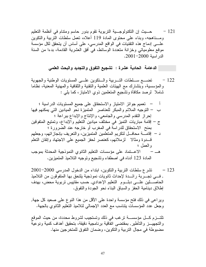121 – حــــيث إن التكنولوجـــية التربوية تقوم بدور حاسم ومتنام في أنظمة التعليم ومسناهجه، وبناء على محتوى المادة 119 أعلاه، تعمل سلطات النربية والنكوين علـــي إدماج هذه التقنيات في الواقع المدرسي، على أساس أن يتحقق لكل مؤسسة موقع معلومياتي وخزانة متعددة الوسائط، في أفق العشرية القادمة، بدءا من السنة الدر اسية 2000-2001.

الدعامة الحادية عشرة : تشجيع التفوق والتجديد والبحث العلمي

نضــــع ســــلطات النــــــربية والــــنكوين علـــــى المسنويات الوطنية والجهوية  $-122$ والمؤسسية، وبنشارك مع الهيئات العلمية والنقنية والنقافية والمهنية المعنية، نظاما شاملا لرصد مكافأة وتشجيع المتعلمين ذوي الامتياز ، كما يلبي :

نشرع سلطات التربية والتكوين، ابنداء من الدخول المدرسي 2000–2001  $-123$ , فـــي تجـــربة رائـــدة لإحداث ثانويات نموذجية يلتحق بها المتفوقون من التلاميذ الحاصـــــــــــلين علــــــــي دبلــــــوم التعليم الإعدادي, حسب مقاييس نزبوية محض، بهدف إطلاق دينامية الحفز والسباق البناء نحو الجودة والنفوق.

ويراعي في ذلك فتح مؤسسة واحدة على الأقل من هذا النوع على صعيد كل جهة, وجعل عدد المؤسسات يتناسب مع العدد الإجمالي لتلاميذ التعليم الثانوي بالجهة.

تلتــــزم كـــــل مؤسســـــة ترغب في ذلك وتستجيب لشروط محددة، من حيث الموقع والنجهيـــز والتأطير, بمقتضــى اتفَّاقية برنـامـجية دقيقة، بتحقيق أهداف كمية ونوعية مضبوطة في مجال التربية والتكوين، وضمان التفوق للمتخر جين منها.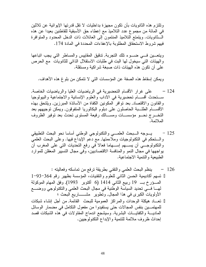وتلتز م هذه الثانويات بأن تكون مجهز ة بداخليات لا تقل قدر تها الإيوائية عن ثلاثين في المائة من مجموع عدد التلاميذ مع إعطاء حق الأسبقية للقاطنين بعيدا عن هذه الـــثانويات. ويتمتع التلاميذ المنتمون إلى العائلات ذات الدخل المحدود والمنوافرة فيهم شروط الاستحقاق المطلوبة بالإعفاءات المحددة في المادة 174.

ويتعـــين فـــي ضــــوء نلك النجربة, تدقيق المقاييس والمساطر التي يجب اتباعها والهيئات التي سيخول لها البت في طلبات الاستقلال الذاتي للثانويات ًمع الحرص علمي أن تكون هذه الهيئات ذات صبغة شر اكية ومستقلة.

ويمكن إسقاط هذه الصفة عن المؤسسات التي لا تتمكن من بلوغ هذه الأهداف.

- 124 على غرار الأقسام التحضيرية في الرياضيات العليا والرياضيات الخاصة, ســـنحدث أقســــام تحضيرية فـي الأداب والعلوم الإنسانية والاجتماعية والبيولوجيا والقانون والاقتصاد, بعد نوافر المكونين الكفاة من الأساتذة المبرزين, ويلتحق بهذه الأقســــام الطلــــبة الـحاصلون علـي دبلوم البكالوريا المتفوقون, ويمكن توجيههم بعد التخـــرج نحـــو مؤسســـات ومســـالك رفيعة المستوى تحدث بعد توفير الظروف الملائمة.
- يسوجه السبحث العلمسي والنكنولوجي الوطني أساسا نحو البحث النطبيقي  $-125$ والستحكم في التكنولوجيات وملاءمتها, مع دعم الإبداع فيها. وعلى البحث العلمي والنكنولوجـــي أن يســــهم إســــهاما فعالا في رفع النحديات النبي علي المغرب أن بواجهها في مجال النمو والمنافسة الاقتصاديين، وفي مجال التسيير المعقلن للموارد الطبيعية والنتمية الاجتماعية.
- ينظم البحث العلمي والنقني بطريقة نرفع من نماسكه وفعاليته :  $-126$ نسهم أكاديمية الحسن الثاني للعلوم والنقنيات، المؤسسة بظهير رقم 364–93–1 المسؤرخ بــــ 19 ربيع الثاني 1414 (6 أكتوبر 1993), وفق المهام الموكولة لمهـــا فــــى تحديد السياسة الوطنية في مجال البحث العلمي والنكنولوجي ووضــــع الأولويات الكبرى في هذا المجال, وتطوير ٍ مشـــــــاريـع البحث ؛ تعساد هيكلة الوحدات والمراكز العمومية للبحث القائمة, من أجل إنشاء شبكات للمهتمـــين بنفس المجالات حتى يستفيدوا من مفعول التكامل في مضمار الوسائل الماديــــة والكفايــــات البشرية. وسيشجع اندمـاج المقاولات في هذه الشبكات قصد إحداث ظروف ملائمة للتنمية والإبداع النكنولوجيين.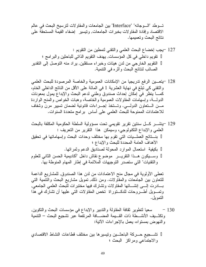تسوطد "السوجائه" "Interface" بين الجامعات والمقاولات لترسيخ البحث في عالم الاقتصاد وإفادة المقاولات بخبرات الجامعات, ونيسير إضفاء القيمة المستحقة على نتائج البحث وتعميمها.

تعطي الأولوية في مجال منح الاعتمادات من لدن هذا الصندوق, للمشاريع الداعمة للنعاون بين الجامعات والمقاولات. ومن ذلك, تمويل مشاريع البحث والتنمية التبي بسادرت إلسي إنشسائها المقاولات وتشارك فيها مختبرات للبحث العلمى الجامعي, وتمـويل أطــروحات للدكـــتوراة تخص المقاولات التي عليها أن تشارك في هذا التمويل.

130 – سعيا لنطوير ثقافة المقاولة والندبير والإبداع في مؤسسات البحث والنكوين, ونكثـــبف الأنشـــطة ذات القـــبمة المضــــافة المرتفّعة عبر تشجيع البحث – النتمية و النهو ض بمستو اه، يعمل بالإجر اءات الآتية:

تشـــجيع حـــركة الباحثـــين ونيسيرها بين مختلف قطاعات النشاط الاقتصادي والاجتماعي ومراكز البحث ؛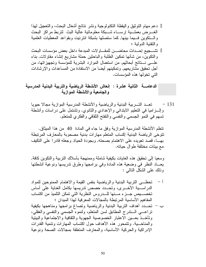دعم مهام النوثيق والبقظة التكنولوجية ونشر نتائج أشغال البحث، والتعجيل لهذا الغسرض بعملسية إرسساء شسبكة معلوماتية عالية البث لنزبط مراكز البحث والستكوين فسيما بينها, كما ستصلها بشبكة انترنيت وبقواعد المعطيات العلمية والنقنية الدولية ؛ تشهجيع إحداث محاضسن للمقاولات المبدعة داخل بعض مؤسسات البحث والنكوين، من شأنها نمكين الطلبة والباحثين حملة مشاريع إنشاء مقاولات, بناء علـــي نـــنائج أبحاثهم, من استعمال الموارد البشرية للمؤسسة وتجهيزاتها، من أجل تحقيق مشاريعهم, وتمكينهم أيضا من الاستفادة من المساعدات والإرشادات التي تخولها هذه المؤسسات.

الدعامــــة الثانيـة عشرة : إنعاش الأنشطة الرياضيـة والتربيـة البدنيـة المدرسيـة والجامعية والأنشطة الموازية

تعبد التسربية البدنية والرياضية والأنشطة المدرسية الموازية مجالا حيويا  $-131$ وإلــــــــــراميــا فـــى القطيم الابندائـــى والإعدادي والثانوي. وتشتمل علـــى در اسات وأنشطـة نسهم في النمو الجسمي والنفسي والنفتح النقافي والفكري للمنعلم.

نتظم الأنشطة المدرسية الموازية وفق ما جاء في المادة 40 من هذا الميثاق. نتوخى الرياضة البدنية إكساب المتعلم مهارات بدنية مصحوبة بالمعارف المرتبطة بهــا، قصد تعويده على الاهتمام بصحته, وبجودة الحياة, وجعله قادرا على التكيف مع بيئات مختلفة طو ال حياته.

وسعيا إلىي تحقيق هذه الغايات بكيفية شاملة وممنهجة بأسلاك النربية والنكوين كافة, يعـــاد النظر في وضعية هذه المادة وفي برامجها وطرق تدريسها ونوعية أنشطتها وذلك على الشكل النالبي :

- تحظَّـــي النَّرِ بِيهَ البِدنية والرِّ ياضية بنفس القيمة والاهتمام الممنوحين للمواد  $-1$ الدراســـية الأخــــري، وتحـــدد حصص ندريسها بكامل العناية على أساس تخصــــــــيص جــــــــزء مــــــنها للــــــدروس النظرية النتى نمكن النثلميذ من اكتساب المفاهيم الأساسية المرتبطة بالمجالات المعرفية لهذا الميدان ؛
- ب تحـــدد أهداف التربية البدنية والرياضية وتصـاغ برامجها ومناهجها بكيفية تراعـــي الـــندرج المطابق لسن المنعلم، ولنموه الـجسمـي والنفسـي والـعقلـي، وتأخــذ بعـــين الاعتبار الخصوصية الجهوية والثقافية والاجتماعية والبيئية والمناخسية. ونتمحور هذه الأهداف حول اكتساب المهارات ونتمية القدرات الإدر اكية والحركية الأساسية، والمعارف المنعلقة بمجالات الصحة ونوعية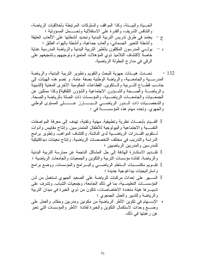القـــبام بـأبـحـــاث نظرية وتطبيقية, مـهنية وتقنية، تـهدف إلـى مـعرفة المواصفات النفســـية والاجتماعية والبيولوجية للأطفال المتمدرسين, وإنتاج مقاييس وأدوات لـــنقويم القـــدرات الرياضــــية لدى الناشئة, واكتشاف المواهب, ونطوير برامج الدراسة والندريب في مختلف التخصصات الرياضية, وإنتاج معينات ديداكتيكية للمدرسين والمدربين الرياضيين ؛ تقــديم الاستشارة الهادفة إلى حل المشاكل الناجمة عن ممارسة التربية البدنية والرياضة, لفائدة مؤسسات النربية والنكوين والجمعيات والجامعات الرياضية ؛ نقـــويم مكتســـبات الــــتعلم الرياضـــــي والبــــرامج والمؤسسات, ووضـع برامج واستر انبجبات ببداغو جبة جدبدة ؛ السهر على إحداث مركبات للرياضة على الصعيد الجهوى تستعمل من لدن المؤسســات التعليمـــية، بما في ذلك الجامعة، وجمعيات الشباب, ونشرف على تدبيــــــر ها هيئة متعددة الاختصــاصــات، تتكون من ذوي الخبر ة في ميدان التربية والرياضة والندبير والعمل الجمعوي ؛ • الإســـهام في تكوين الأطر الرياضية من مكونين ومدربين وحكام, والعمل على وضــــع وحدات لاستكمال النكوين والخبرة لفائدة الأطر والمؤسسات التبي نعبر

51

عن رغبتها في ذلك.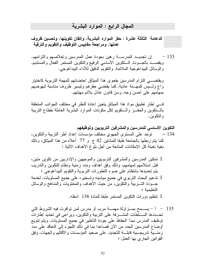#### المجال الرابع : الموارد البشرية

الدعامة الثالثة عشرة : حفز الموارد البشرية, وإتقان تكوينها, وتحسين ظروف عملها, ومراجعة مقاييس التوظيف والتقويم والترقية

إن تجديــد المدرســـة رهين بجودة عمل المدرسين وإخلاصـهم والتزامـهم.  $-133$ ويقصـــد بالجـــودة, الـــنكوين الأساسي الرفيع والنكوين المستمر الفعال والمستديم, و الوسائل البيداغوجية الملائمة, والنقويم الدقيق للأداء البيداغوجي.

ويقتضـــي التزام المدرسين بفحوى هذا الميثاق احتضانهم للمهمة التربوية كاختيار واع ولسيس كمهسنة عادية, كما يقتضبي حفزهم ونيسير ظروف مناسبة لنهوضهم بمهامهم علىي أحسن وجه, وسن قانون عادل بلائم مهنتهم.

في إطار نطبيق مواد هذا الميثاق يتعين إعادة النظر في مختلف الجوانب المتعلقة بالسنكوين والحفس والستقويم لكل مكونات الموارد البشرية العاملة بقطاع النربية و التكو بن.

التكوين الأساسي للمدرسين والمشرفين التربويين وتوظيفهم توحد على المستوى الجهوي مختلف مؤسسات إعداد أطر التربية والتكوين،  $-134$ كما يتم ربطها بالجامعة طبقا للمادنين 42 ج و 77 أعلاه من هذا الميثاق، وذلك بغية تعبئة كل الإمكانات المتاحة من أجل بلو غ الأهداف الآتية :

تمكين المدرسين والمشرفين التربويين والموجهين والإداريين من تكوين متين، قبل استلامهم لمهامهم، وذلك وفق أهداف ومدد زمنية ونظام للتكوين والتدريب يتم تحديدها بانتظام على ضوء التطورات التربوية والتقويم البيداغوجي ؛ تدعيم البحث النربوي في جميع ميادينه وتسخيره على جميع المستويات, لخدمة جـــودة التــــربية والنكوين، من حيث الأهداف والمحتويات والمناهج والوسائل التعليمية ؛ تنظيم دورات النكوين المستمر طبقا للمادة 136 أسفله.

135 ٪ – أ – يســـمح بمـــزاولـة مـهمــــة مرب أو مدرس لمن نوافرت فيه الشروط التبي تحـــددها الســـلطات المشـــرفة على التربية والتكوين، ويراعى في تحديد إطارات نوظيف المدرس مبدأ الحفاظ على جودة الناطير في جميع المستويات. ويتم تنويع أوضاع المدرسين الجدد من الآن فصاعدا بما في ذلك اللجوء إلى النعاقد على مدد زمنـــبة ندريجـــبة قابلــــة للنجديد, علـي صعيد المؤسسات والأقاليم والجهات, وفق القوانين الجاري بها العمل ؛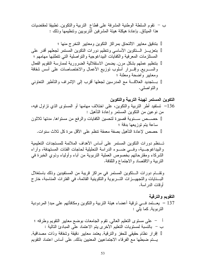ب – نقوم السلطة الوطنية المشرفة على قطاع النربية والنكوين, نطبيقا لمقتضيات هذا الميثاق, بإعادة هيكلة هيئة المشرفين النربويين ونتظيمها وذلك :

بتدقيق معايير الالتحاق بمراكز التكوين ومعايير التخرج منها ؛ بتعزيـــز الـــنكوين الأساسي ونتظيم دورات النكوين المستمر لجعلهم أقدر على المستلزمات المعرفية والكفايات البيداغوجية والنواصلية التي نتطلبها مهامهم ؛ بتنظيم عملهم بشكل مرن, يضمن الاستقلالية الضرورية لممارسة النقويم الفعال والســــريع, وإقــــرار أسلوب نوزيع الأعمال والاختصــاصـات علــي أسس شفافة ومعايير واضحة ومعلنة ؛ بستجديد العلاقسة مع المدرسين لجعلها أقرب إلىي الإشراف والتأطير التعاونبي و التو اصلبي.

التكوين المستمر لهيئة التربية والتكوين

136 – تستفيد أطر التربية والتكوين، على اختلاف مهامها أو المستوى الذي تزاول فيه، من نو عين من النكوين المستمر وإعادة التأهيل : حصـــص ســـنوية قصيرة لتحسين الكفايات والرفع من مستواها, مدتها ثلاثون ساعة بِتم توز بعها بدقة ؛ حصص لإعادة التأهيل بصفة معمقة تنظم على الأقل مرة كل ثلاث سنوات.

تسنظم دورات النكوين المستمر على أساس الأهداف الملائمة للمستجدات التعليمية والبيداغوجـــية، وفـــي ضــــوء الدراسة التحليلية لحاجات الفئات المستهدفة، وأراء الشركاء ومقترحاتهم بخصوص العملية النزبوية من أباء وأولياء وذوي الخبرة في النربية والاقتصاد والاجتماع والنقافة.

ونقـــام دورات الـــنكوين المستمر في مراكز قريبة من المستفيدين وذلك باستغلال البـــنايات والتجهيــــزات التــــربوية والتكوينية القائمة، في الفترات المناسبة، خارج أو قات الدر اسة.

#### التقويم والترقية

137 – يعــــنمد فــــي نزقية أعضـاء هيئة النزبية والنكوين ومكافأتهم علـي مبدإ المردودية النربوية, كما يلي :

أ – على مستوى النعليم العالمي, نقوم الجامعات بوضع معايير النقويم وطرقه ؛ ب – بالنسبة لمستويات التعليم الأخرى يتم الاعتماد على المبادئ التالية : إقرار نظام حقيقي للحفز والنرقية, يعتمد معايير دقيقة وشفافة وذات مصداقية, يستم ضبطها مع الفرقاء الاجتماعيين المعنيين بذلك, على أساس اعتماد التقويم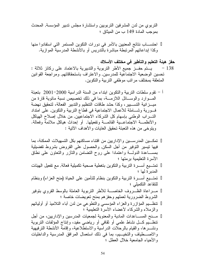التربوي من لدن المشرفين التربويين واستشارة مجلس تدبير المؤسسة, المحدث بموجب المادة 149 ب من الميثاق ؛

احتســــاب نتائج المعنيين بالأمر في دورات النكوين المستمر التي استفادوا منها وكذا إبداعاتهم المر تبطة مباشر ة بالندر بس أو بالأنشطة المدر سية الموازية.

#### حفز هيئة التعليم والتأطير في مختلف الأسلاك

- 138 يستم حفـــز جميع الأطر النربوية والندبيرية بالاعتماد علـى ركائز ثلاثة : تحسين الوضعية الاجتماعية للمدرسين, والاعتراف باستحقاقاتهم, ومراجعة القوانين المتعلقة بمختلف مراتب موظفي التربية والتكوين.
- أ نقوم سلطات النربية والنكوين ابنداء من السنة الدراسية 2000–2001 بنعبئة المسوارد والوســـائل اللازمـــة، بما في ذلك تخصيص نسبة مائوية قارة من ميــــزانية التســـــيير، وكذا حشد طاقات النتظيم والتدبير الفعالة، لتحقيق نهضة فـــورية وشــــاملة للأعمال الاجتماعية فـي قطـاع التربية والتكوين, علـي امتداد التــــــراب الوطنــي بـإسهام كل الشركـاء الاجتماعيين, من خلال إصـلاح الـهياكل والأنظمـــة الاجتماعــــية القائمــــة وتفعيلها, أو إحداث هياكل ملائمة وفعالة. ويتوخى من هذه التعبئة تحقيق الغايات والأهداف الآتية :

تمكــــين المدر ســــين و الإدار بين من افتنـاء مساكنـهم بكل التسهيلات الممكنـة، بمـا فيها نيسير النوفير من أجل السكن, والحصول على القروض بشروط نفضيلية بمســـاعدة الدولــــة واعتمادا على روح النضامن والنأزر والنعاون على نطاق الأسرة التعليمية برمتها ؛ تمتـــبع أســـرة النربية والنكوين بنغطية صـحية نكميلية فعالة, مـع تفعيل الـهيئات المدبر ة لها ؛ تمتــــيع أســــرة النربية والنكوين بنظام للتأمين علـي الحياة (منح العزاء) وبنظام للتقاعد التكميلي ؛ مسراعاة الظسروف الخاصسة للأطر النزبوية العاملة بالوسط القروي بنوفير الشروط الضرورية لعملهم وحفزهم بمنح نعويضات خاصة ؛ نتظـــبم المؤازرة والعزاء المؤسسي والنطوعي من لدن أباء النلاميذ أو أوليائهم والزملاء والشركاء لأعضاء الأسرة النعليمية ؛ مــــنح المســــاعدات المـادية والمعنوية لـجمعيات المدرسين والإداريين، من أجل نتظـــبم كــــل نشاط علمــي أو ثقافـي أو ريـاضــي مفيد، وإنتـاج المؤلفات النربويـة ونشــــرها، والقيام بالرحلات الدراسية والاستطلاعية، وإقامة الأنشطة الترفيهية والاصـــطياف والتخيـــيم، بما في ذلك استعمال المرافق المدرسية والداخليات والأحباء الجامعبة خلال العطل ؛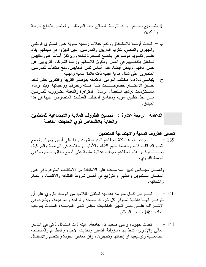نتنسجيع نظام إيراد للنربية، لصالح أبناء الموظفين والعاملين بقطاع النربية و النكو بن.

الدعامة الرابعة عشرة : تحسين الظروف المادية والاجتماعية للمتعلمين والعناية بالأشخاص ذوي الحاجات الخاصة

وتعمــــل مجـــــالس ندبير المؤسسات على الاستفادة من الإمكانات المتوافرة في عين المكــــان للــــنموين والطهي والنوزيع في أحسن شروط النظافة والاقتصاد والنظام و الشفافية.

- تحــــرص كــــل مدرسة إعدادية تستقبل التلاميذ من الوسط القروي على أن  $-140$ نتوافــــر لهــــا داخلية نستوفي كل شروط الصحة والراحة والمراجعة. ويشارك في الإشــــراف علـــــى حسن نسيير الداخليات مجلس ندبير المؤسسة، المحدث بموجب المادة 149 ب من المبثاق.
- تحدث جهويا، وعلى صعيد كل جامعة، هيئة ذات استقلال ذاتي في التدبير  $-141$ المالبي والإداري، نتاط بها مسؤولية التسيير وتحديث الأحياء والمطاعم والمقاصف الجامعـــية ونوسيعها أو إحداثها ونجهيزها، وفق معايير الجودة والتنظيم والاستقبال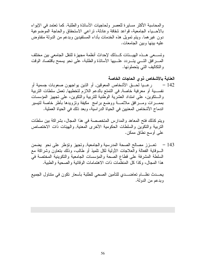و المحاسبة الأكثر مسايرة للعصر ولحاجيات الأساتذة والطلبة. كما تعتمد في الإيواء بالأحسياء الجامعية، قواعد شفافة وعادلة، نراعى الاستحقاق والحاجة الموضوعية دون غير هما. ويتم تمويل هذه الخدمات بأداء المستفيدين وبدعم من الدولة متفاوض عليه بينها وبين الجامعات.

ونســـعي هـــذه الـهيـــئات كـــذلك لإحداث أنظمة مجهزة للنقل الجامعي بين مختلف المسرافق التسي يتسردد علسيها الأساتذة والطلبة، على نحو يسمح باقتصاد الوقت و التكاليف التي يتحملونها.

العناية بالأشخاص ذوى الحاجات الخاصة ر عـــيا لحــــق الأشخاص المعوقين, أو الذين يو لجهو ن صعوبات جسمية أو  $-142$ نفســـية أو معرفية خاصة, في التمتع بالدعم اللازم لتخطيها, تعمل سلطات التربية والسنكوين، على امتداد العشرية الوطنية للنربية والنكوين، على نجهيز المؤسسات بممــــرات ومــــــرافق ملائمـــــة ووضـع برامـج ۖ مكيفة وتزويدها بأطر خاصـة لتيسير اندماج الأشخاص المعنيين في الحياة الدر اسية، وبعد ذلك في الحياة العملية.

ويتم كذلك فتح المعاهد والمدارس المتخصصة في هذا المجال، بشراكة بين سلطات النربية والنكوين والسلطات الحكومية الأخرى المعنية, والهيئات ذات الاختصاص على أوسع نطاق ممكن.

143 – تعـــزز مصـالح الصـحة المدرسية والجامعية, وتجهز وتؤطر على نحو بضمن السوقاية الفعالة والعلاجات الأولية لكل نلميذ أو طالب، وذلك بنعاون وشراكة مع السلطة المشرفة على قطاع الصحة والمؤسسات الجامعية والنكوينية المختصة في هذا المجال، وكذا كل المنظَّمات ذات الاهتمامات الوقائية و الصحية و الطبية.

يحـــدث نظــــام تعاضــــدي للتأمين الصـحي للطلبة بأسعار تكون في متناول الجميع وبدعم من الدولة.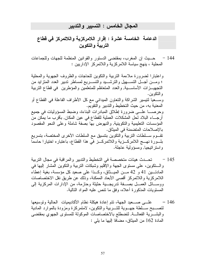#### المجال الخامس : التسبير والتدبير

## الدعامة الخامسة عشرة : إقرار اللامركزية واللاتمركز في قطاع التربية والتكوين

حــــبِث إن المغرب، بمقتضــي الدستور والقوانين المنظمة للجهات وللجماعات - 144 المحلية ، بنهج سياسة اللامركزية واللاتمركز الإداريين :

و اعتبار ا لضر و ر ة ملاءمة التربية و التكوين للحاجات و الظر و ف الجهوية و المحلية ؛ ومــــن أجــــل التســـــهيل والنرشــــيد والتســــريـع لمساطر ندبير الـعدد المنزايد من و التكو بن . وســـعيا لنيسير الشراكة والنعاون الميدانـي مـع كل الأطراف الفاعلة فـي القطاع أو المعنية به، من حيث التخطيط و التدبير و التقويم. وحرصـــــا علـــــى ضرورة إطلاق المبادرات البناءة، وضبط المسؤوليات في جميع أرجــــاء البـلاد لـحل المشكلات العملية للقطـاع فـي عين المكان, بأقرب مـا يمكن من المؤسسات التعليمية والتكوينية, والنهوض بها بصفة شاملة وعلى النحو المقصود بالإصلاحات المتضمنة في الميثاق. نقـــوم ســــلطات النربية والنكوين بنتسيق مع السلطات الأخرى المختصة، بتسريع بلـــورة نـهــــج اللامركــــزية واللاتمركــــز فـي هذا القطاع، بـاعتباره اختيارا حاسما و استر اتيجيا, و مسؤولية عاجلة.

- تحـــدث هيئات متخصصة في التخطيط والندبير والمراقبة في مجال النربية  $-145$ والسنكوين، على مستوى الجهة والإقليم وشبكات النربية والنكوين المشار إليها في المادتـــين 41 و 42 مـــن الميـــثاق، وكـــذا على صعيد كل مؤسسة، بغية إعطاء اللامر كزية واللاتمر كز أقصبي الأبعاد الممكنة، وذلك عن طريق نقل الاختصاصات ووســائل العمـــل بصــــفة تدريجـــية حثيثة وحازمة، من الإدارات المركزية إلـي المستويات المذكور ة أعلاه، وفق ما نتص عليه المواد التالية.
- 146 علــــي صــــعيد الجهة، تتم إعادة هيكلة نظام الأكاديميات الحالية و توسيعها لتصــــبح ســــلطة جهــــوية للتــــربية والتكوين، لامتمركزة ومزودة بالموارد المادية والبشـــرية الفعالـــة, لتضطلع بالاختصاصات الموكولة للمستوى الجهوي بمقتضىي المادة 162 من الميثاق، مضافا إليها ما يلي :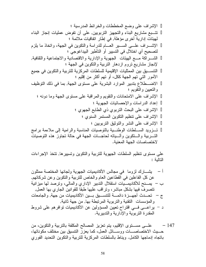على مستوى نتظيم السلطات الجهوية للتربية والنكوين وتسبيرها, نتخذ الإجراءات التالية :

147 – علــــى مســــتوى الإقليم، يتم تعزيز المصـالـح المكلفة بالتربية والتكوين، من<br>حـــيث الاختصــاصـــــات ووســــائل الـعمل، كما يعزز النتسيق بين مختلف مكونـاتـها، باتجاه إدماجها الكامل. ويناط بالسلطات المركزية للنربية والنكوين التحديد الفوري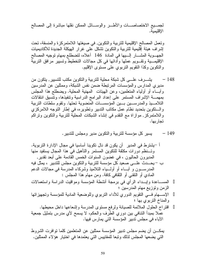لجمـــيع الاختصـاصــــات والأطــــر والوســــائل الممكن نقلها مباشرة إلىي المصـالـح الإقليمية.

وتعمل المصالح الإقليمية للتربية والتكوين, في صيغتها اللامتمركزة والمنسقة، تحت إشراف هيئة إقليمية للنربية والنكوين تشكل على غرار الهيكلة الجديدة للأكاديميات الجهـــوية المشــــار الــــبها في المـادة 146 أعلاه، لتضطلع بمهام توجيه المصـالح الإقليمــــية وتقـــويم عملها وأدائها في كل مجالات التخطيط وتسبير مرافق التربية والنكوين وكذا النقويم النزبوي على مسنوى الإقليم.

يشـــرف علـــي كل شبكة محلية للتربية والنكوين مكتب للتسيير, يتكون من  $-148$ مدير ى المدار س و المؤسسات المر نبطة ضمن نفس الشبكة، وممثلين عن المدر سين وأبَّــاء أو أولياء المُتعلِّمين، وعن الهيئات المهنية المُعلية. ويضطلع هذا المُجلس بمهمـــة الإشراف المستمر على إعداد البرامج الدراسية وتنفيذها، وتنسيق انتقالات التلامـــيذ والمدرســـين بـــين المؤسســـات المنضوية تحتها. وتقوم سلطات التربية والستكوين بتحديد نظام عمل مكاتب التدبير وتطويره، في إطار التوجه اللامركزي واللامتمركز, موازاة مع النقدم في إنشاء الشبكات المحلية للنربية والنكوين ونراكم تجار بها.

اً –بِشتر ط في المدير – أن يكون قد نال تكوينا أساسيا في مجال الإدار ة التر بو ية. وتــنظم دورات مكثفة للتكوين المستمر والتأهيل في هذا المجال يستفيد منها المديرون الحاليون ، في غضون السنوات الخمس القادمة على أبعد تقدير, ب – بحــــدث علــــي صـعيد كل مؤسسة للنربية و النكوين مجلس للندبير ، يمثل فيه المدرســـون و أبــــاء أو أولــــياء التلاميذ وشركـاء المدرسة فـي مجالات الدعم الممادي أو النقنبي أو النقافي كافة. ومن مهام هذا المجلس : المســـاعدة وإبـــداء الرأي في برمجة أنشطة المؤسسة ومواقيت الدراسة واستعمالات الزمن وتوزيع مهام المدرسين ؛ الإســـهام فـــي النقويم الدوري للأداء النزبوي وللوضعية المادية للمؤسسة ونجهيزاتها والمناخ النربوي بها ؛ اقتراح الحلول الملائمة للصيانة ولرفع مستوى المدرسة وإشعاعها داخل محيطها. عملاً بمبدأ النتافي بين دوري الطرف والحكم، لا يسمح لأي مدرس بتمثيل جمعية الآباء في مجلس ندبير المؤسسة التي يمارس فيها.

يمكـــن أن يضم مجلس ندبير المؤسسة ممثلين عن المتعلمين كلما نوافرت الشروط التي يضعها المجلس لذلك وتبعا للمقاييس التي يعتمدها في اختيار هؤ لاء الممثلين.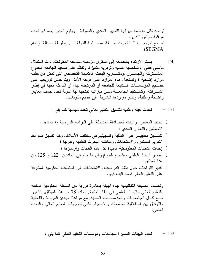ترصد لكل مؤسسة ميزانية للتسيير العادي والصيانة ؛ ويقوم المدير بصرفها تحت مراقبة مجلس التدبير . تمـــنح تدريجـــيا للـــثانويات صــــفة "مصــــلحة للدولة تسير بطريقة مستقلة" (نظام .(SEGMA

نَحدث هيئة وطنية لنتسيق النعليم العالمي نحدد مهامها كما يلي :  $-151$ 

وتحسدد الصبغة التنظيمية لهذه الهيئة بمبادرة فورية من السلطة الحكومية المكلفة بالنعليم العالى والبحث العلمي في إطار نطبيق المادة 78 من هذا الميثاق, بتشاور مـــع كـــل الْـجامعــــات والمؤسســـات المعنية, مـع مراعاة مبادئ المرونـة والفعالية والنوَّفيق بين استقلالية الجامعات والانسجام الكلَّى لنوجهات النعليم العالمي والبحث العلمي.

> تحدد الهيئات المسيرة للجامعات ومؤسسات التعليم العالمي كما يلي :  $-152$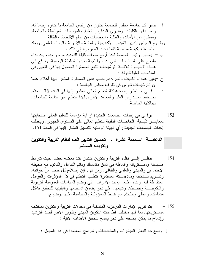ير اعي في إحداث الجامعات الجديدة أو أية مؤسسة للتعليم العالي استجابتها  $-153$ لمعاييـــــــر نابـــــية الحاجـــــات الدقيقة للنعليم العالمي علمى المسنوى الجهوي. وينطلب إحداث الجامعات الجديدة ر أي الهيئة الوطنية للتتسبق المشار إليها في المادة 151.

## الدعامـــــــة الســادســة عشر ة : تـحسين التدبير الـعام لنظام التربيــة و التكوين وتقويمه المستمر

- ينظــــر إلـــــى نظام النربية والنكوين كبنيان يشد بعضه بعضا, حيث نترابط - 154 هــــياكلـه ومســــنويـانـه وأنمـاطـه فـي نسق منمـاسك ودائم النقاعل والذلاؤم مـع مـحيطـه الاجتماعي والمهني والعلمي والنقافي. ومن ثم , فإن إصلاح كل جانب من جوانبه, ونقـــويم نــــتائجه وملاءمـــته المستمرة, نتطلب التحكم في كل المؤثرات والعوامل المتفاعلة فيه. وبناء عليه, يوحد الإشراف على وضع السياسات العمومية التربوية والنكوينـــية وتنفـــيذها ونتبعها, على نحو يضمن انسجامها وقابليتها للتحقيق بشكل منماسك, وعملي وحثيث, مع ضبط المسؤولية والمحاسبة عليها بوضوح.
- يتم تقويم الإدارات المركزية المتدخلة في مجالات التربية والتكوين بمختلف  $-155$ مســــتوياتها, بما فيها مختلف قطاعات النكوين المهنى وتكوين الأطر قصد الترشيد وإدماج ما يمكن إدماجه على نحو يسمح بتحقيق الأهداف الآتية :

وضع حد لتبعثر المبادرات والمخططات والبرامج المعتمدة في هذا المجال ؛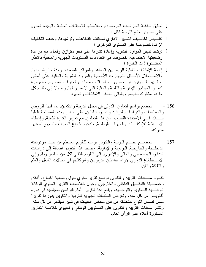تحقيق شفافية المبز انيات المرصودة, وملاءمتها للأسبقيات الحالية والبعيدة المدى, على مستوى نظام التربية ككل ؛ تقلَّـــبص تكالـــبف التسيير الإداري لمختلف القطاعات وترشيدها, وحذف التكاليف الزائدة خصوصا على المستوى المركزي ؛ ترشيد تدبير الموارد البشرية وإعادة نشرها على نحو متوازن وفعال, مع مراعاة وضعيتها الاجتماعية, خصوصا في اتجاه دعم المستويات الجهوية والمحلية بالأطر المقتـــدر ة ذات الخبر ة ؛ إناحة الإمكانات الفعلية للربط بين المعاهد والمراكز المتعددة, وحذف الزائد منها, والاســــنغلال الأمــــثل للتجهيزات الأساسية والموارد البشرية والمالية, علـي أساس تحقَّــيق الــتوازن بين ضرورة حفظ التخصصات والخبرات المتميزة, وضرورة كســـــــــر الحواجز الإدارية والنقنية والمالية التـي لا مبرر لـها, وصـولا إلـى نقاسم كل ما هو مشترك بطبعه, وبالنالمي نضافر الإمكانات والجهود.

- تخضع برامج النعاون الدولي في مجال النربية والنكوين, بما فيها القروض  $-156$ والمساعدات والدراسات, لنرشيد ونتسبق شاملين, على أساس يخدم المصلحة العليا للسبلاد فسي الاستفادة القصوى من هذا النعاون, مع نعزيز القدرة الذانية, وإعطاء الأســبقية للإمكانـــات والخبرات الوطنية, وندعيم إشعاع المغرب وتشجيع نصدير مدار كه.
- يخضــــع نظــــام النربية والتكوين برمنه للنقويم المنتظم من حيث مردوديته  $-157$ الداخلــــية والخارجية, التربوية والإدارية. ويستند هذا النقويم, إضافة إلى دراسات الندقيق البيداغوجي والمالي والإداري, إلى النقويم الذاتي لكل مؤسسة نربوية, وإلى الاســـنطلاع الدوري لأراء الفاعلين النربويين وشركائهم في مجالات الشغل والعلم و النقافة و الفن.

نقـــوم ســــلطات النربية والنكوين بوضـع نقرير سنوي حول وضعية القطاع وأفاقه, وحصــــيلة الندقــــيق الداخلـي والخارجي, وحول خلاصـات النقرير السنوي للوكالة الوطنــــية للــــنقويم والنوجــــيه. ويقدم هذا النقرير أمام البرلمان بمجلسيه في دورة أكتوبـــــر من كل سنة. وتعرض السلطات الجهوية للتربية والتكوين بدورها تقريرا مــــن نفــــس النو ع لمناقشته من لدن مجالس الجهات في شهر سبتمبر من كل سنة. وتتشر سلطات التربية والتكوين على المستويين الوطني والجهوي خلاصة التقارير المذكورة أعلاه على الرأى العام.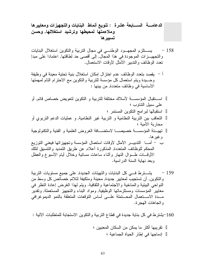## الدعامـــــة الســـــابعة عشرة : تنويع أنماط البنـايات والتجهيزات ومعاييرها وملاءمتها لمحيطها وترشيد استغلالها, وحسن تسييرها

- يســـــتلزم المـجهـــود الوطنــــي في مـجال النربية والنكوين استغلال البنايات  $-158$ والتجهيـــــزات الموجودة في هذا المجال, إلى أقصــي حد لطـاقتها, اعتمادا علـي مبدإ نعدد الوظائف والندبير الأمثل لأوقات الاستعمال.
- أ يقصد بتعدد الوظائف عدم اختزال إمكان استغلال بنية تحتية معينة في وظيفة وحسيدة ويتم استعمال كل مؤسسة للتربية والتكوين مع الاحترام التام لمهمتها الأساسية في وظائف متعددة, من بينها :

استقبال المؤسسـة لأسلاك مختلفة للتربية و النكوين لتعويض خصاص قائم, أو علي سبيل التناوب ؛ استقبالها لبر امج التكوين المستمر ؛ النعاقب بين التربية النظامية و التربية غير النظامية, و عمليات الدعم التربوي أو محاربة الأمبة ؛ تهيئة المؤسسة خصيصـــا لاستضـــافة العروض العلمية و الفنية والتكنولوجية و غير ها. ب – أمـــا الندبيـــر الأمثل لأوقات استعمال المؤسسة وتجهيزاتها فيعني التوزيع المحكم للوظائف المتعددة, المذكورة أعلاه, عن طريق التمديد والنتسيق لتلك الأوقسات طـــوال النهار وأثناء ساعات مسائية وخلال أيام الأسبوع والعطل وبعد نهاية السنة الدر اسية.

159 – يشـــــترط فــــى كل البنايات والتهيئات الجديدة, على جميع مستويات التربية و التكوين٬ أن تستجيب لمعايير جديدة٬ محينة ومتكيفة لتلائم خصائص كل وسط من النواحي البيئية والمناخية والاجتماعية والثقافية. ويتم لهذا الغرض إعادة النظر في معايير المؤسسات ومستلزماتها الوظيفية, ومواد البناء والتجهيز المستعملة, ونقدير مــــدة الاســــتعمال المحــــتملة علـــــى أساس النوفعات المتعلقة بالنمو الديمو غرافي و اتجاهات الـهجر ة.

160–بِشتر ط في كل بناية جديدة في قطاع التربية والتكوين الاستجابة للمتطلبات الأتية :

نقر يبها أكثر ٍ ما يمكن من السكان المعنيين ؛ إدماجها في إطار الحياة الجماعية ؛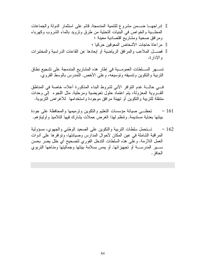إدراجهـــا ضــــمن مشروع للنتمية المندمجة, قائم على استثمار الدولة والجماعات المحلسية والخواص في البنيات التحتية من طرق ونزويد بالماء الشروب وكهرباء ومرافق صحية ومشاريع اقتصادية معينة ؛ مر اعاة حاجات الأشخاص المعوفين حركبا ؛ فصــــل الملاعب والمرافق الرياضية أو إبعادها عن القاعات الدراسية والمختبرات و الادار ة.

تســـهر الســــلطات العمومــــية في إطار هذه المشاريع المندمجة على تشجيع نطاق النربية والنكوين ونتسيقه ونوسيعه، وعلى الأخص, النمدرس بالوسط القروى.

في حالـــة عدم النو افر الآنبي لشروط البناء المذكورة أعلاه، خاصة في المناطق القــــــروية المعزولة، يتم اعتماد حلول نعويضية ومرحلية, مثل اللجوء إلىي وحدات منتقلة للتربية والنكوين أو تهيئة مرافق موجودة واستخدامها كلأغراض التربوية.

- تحظـــي صبيانة مؤسسات التعليم والنكوين ونرميمها والمحافظة على جودة  $-161$ بيئتها بعناية مستديمة, وتنظم لهذا الغرض حملات يشارك فيها التلاميذ و أولياؤ هم.
- تستحمل سلطات التربية والتكوين على الصعيد الوطني والجهوى، مسؤولية  $-162$ المر اقبة الشاملة في عين المكان لأحو ال المدار س و صيانتها، و تو افر ها علي أدو ات العمل اللازمة. وعلى هذه السلطات الندخل الفوري لتصحيح أي خلل يضر بحسن ســــــير المدرســـــــة أو تجهيزاتها, أو يمس بسلامة بيئتها وجماليتها ومناخها التربوي الحافز .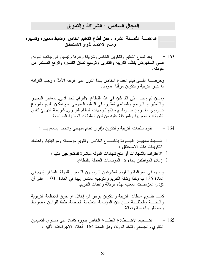#### المجال السادس : الشر اكة و التمويل

ومنح الاعتماد لذوى الاستحقاق

163 – يعد قطاع النعليم والنكوين الخاص, شريكا وطرفا رئيسيا, إلى جانب الدولة, فسي السنهوض بنظام النربية والنكوين ونوسيع نطاق انتشاره والرفع المستمر من جو دته.

وحرصـــــا علـــــي قيام القطـاع الـخاص بـهذا الدور علـي الوجه الأمثل، وجب النز امـه باعتبار النربية والنكوين مرفقا عموميا.

ومــــن ثم وجب علـي الفاعلين فـي هذا القطـاع الالتزام, كـحد أدنـي, بمعايير التجهيز والتأطير و البرامج والمناهج المقررة في النعليم العمومي, مع إمكان تقديم مشروع تــــربوي مقــــرون ببـــــرنامج ملائم لتوجهات النظام التربوي, شريطة التهيبئ لنفس الشهادات المغربية والموافقة عليه من لدن السلطات الوطنية المختصة.

ضــــبط معاييــــــر الجــــودة بالقطـــــاع الخاص, ونقويم مؤسساته ومراقبتها, واعتماد النكوينات ذات الاستحقاق ؛ الاعتراف بالشهادات أو منح شهادات الدولة مباشرة للمتخرجين منها ؛ إعلام المو اطنين بأداء كل المؤسسات العاملة بالقطاع.

ويسهم في المراقبة والنقويم المشرفون النربويون النابعون للدولة, المشار إليهم في المعادة 135 ب وكذا وكالة النقويم والنوجيه المشار إليها في المادة 103, على أن نؤدي المؤسسات المعنية لمهذه الوكالة واجبات النقويم.

كمــــا نقـــوم سلطات النربية والنكوين بزجر أي إخلال أو خرق للأنظمة النربوية والبيئـــية والخلقـــية مـــن لدن المؤسسة النعليمية الخاصـة, طبقا لقوانين وضوابط ومساطر واضحة وفعالة.

تشــــجيعا لاضــــطلاع القطــــاع الخاص بدوره كاملا على مسنوى النعليمين  $-165$ الثانوي والجامعي, نتخذ الدولة، وفق المادة 164 أعلاه, الإجراءات الأنية :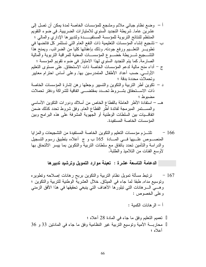الدعامة التاسعة عشرة : تعبئة موارد التمويل وترشيد تدبيرها

نرتبط مسألة تمويل نظام التربية والنكوين بربح رهانات إصلاحه ونطويره  $-167$ وتوسيع مداه, طبقا لما جاء في الميثاق, خلال العشرية الوطنية للتربية والنكوين ؛ وهـــيّ الــــرهانات التي تبلور ها الأهداف التي ينبغي تحقيقها في هذا الأفق الزمني وعلى الخصوص : أ – الر هانات الكمية :

نعميم النعليم وفق ما جاء في المادة 28 أعلاه ؛ محاربة الأمية ونوسيع النربية غير النظامية وفق ما جاء في المادنين 33 و 36 أعلاه ؛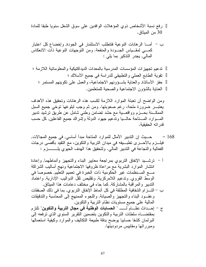رفع نسبة الأشخاص ذوي المؤهلات الوافدين على سوق الشغل سنويا طبقا للمادة 30 من المبثاق.

تدعيم تجهيزات المؤسسات المدرسية بالمعدات الديداكنيكية والمعلوماتية اللازمة ؛ نقوية الطابع العملي والتطبيقي للدراسة في جميع الأسلاك ؛ حفز الأساتذة, والعناية بشـوونهم الاجتماعية، والعمل على تكوينهم المستمر ؛ العنابة بالشؤون الاجتماعية والصحبة للمتعلمين.

ومن الواضح أن تعبئة الموارد اللازمة لكسب هذه الرهانات وتحقيق هذه الأهداف يعتبــــر ضرورة ملحة، رغم صعوبتها. ومن ثم وجب لبلوغها توخي جميع السبل الممكـــنـة بـحــــزم وواقعــــيـة مـع حشد تضـامن وطنــي شامل عن طريق ترشيد تدبير المســوارد المــــناحة حالــــيا وندعيم جهود الدولة وإشراك جميع الفاعلين, كل حسب قدر اته الحقيقية.

- حــــيث إن الندبير الأمثل للموارد المناحة مبدأ أساسي, في جميع المجالات,  $-168$ فيلـــــزم بـالأحــــــر ى تطبــــــيقه فـي ميدان النتربيـة والنكوين، مـع النقيد بـأقصــي درجات الفعالية والنجاعة في الندبير المالي. ولتحقيق هذا الهدف الحيوى بلــــــــــزم :
- أ نرشــــيد الإنفاق النربوي بمراجعة معايير البناء والنجهيز وأنماطهما, وإعادة انتشار الموارد البشرية مع مراعاة ظروفها الاجتماعية ونهج أساليب الشراكة مــــع المـــنظمات غير الحكومية ذات الخبرة في تعميم التعليم, خصوصا في الوسط القروي, وندعيم اللامركزية, ونقليص نقل الدواليب الإدارية, واعتماد الندبير والمراقبة بالمشاركة, كما جاء في مختلف دعامات هذا الميثاق,
- ب التـــز ام الشفافية المطلقة في كل أنماط الإنفاق التربوي, بما في ذلك الصفقات وعقـــود البناء والنجهيز والصيانة, واللجوء الممنهج إلى المحاسبة والندقيقات المالية على جميع مسنويات نظام النربية والنكوين,
- ج إحـــداث نظــــام لـــــــــ " الحسابات الوطنية في مجال التربية والتكوين" نلتز م بمقتضــــاه سلطات النربية والنكوين بنضمين النقرير السنوي الذي نرفعه إلى البرلمان كشفا حسابيا بوضح بدقة طبيعة النكاليف والموارد وكيفية استعمالها ومبر راتها ومقابيس مردوديتها.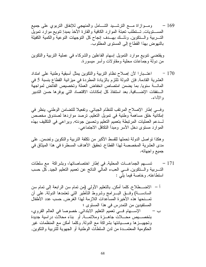ومسوازاة مسع الترشسيد الشسامل والمنهجي للإنفاق النزبوي علىي جميع - 169 المســـــنويات, تــــنطلب نعبئة الموارد الكافية والقارة الأخذ بمبدإ نتويع موارد نمويل التــــربية والـــنكوين, وذلـــك بهـــدف إنجاح كل التوجهات النوعية والكمية الكفيلة بالنهوض بهذا القطاع إلى المستوى المطلوب.

ويقتضبي نتويع موارد التمويل إسهام الفاعلين والشركاء في عملية التربية والتكوين من دولة وجماعات محلية ومقاولات وأسر ٍ مبسور ة.

اعتـــبارا لأن إصـلاح نظام النربية والنكوين يمثل أسبقية وطنية علـى امنداد  $-170$ العشرية القادمة, فإن الدولة تلتزم بالزيادة المطردة في ميزانية القطاع بنسبة 5 في المائسة سنويا, بما يضمن امتصاص انخفاض العملة وتخصيص الفائض لمواجهة الــنفقات الإضـــافية, بعد استنفاذ كل إمكانات الاقتصـاد التي يوفر ها حسن التدبير و الأداء.

وفي إطار الإصلاح المرتقب للنظام الجبائي, وتفعيلا للتضامن الوطني, ينظر في إمكانية خلق مساهمة وطنية في تمويل التعليم, ترصد مواردها لصندوق مخصص لـــدعم العمليات المرتبطة بتعميم التعليم وتحسين جودته, ويراعى في التكليف بهذه الموارد مسنوى دخل الأسر ومبدأ النكافل الاجتماعي.

و هكذا نو اصل الدولة تحملها للقسط الأكبر ٍ من نكلفة التربية و التكوين و تضمن, على مدى العشرية المخصصة لهذا القطاع, تحقيق الأهداف المسطرة في هذا الميثاق في جميع واجهاته.

تســـهم الجماعـــات المحلية, في إطار اختصـاصـاتها، وبشراكة ً مع سلطات  $-171$ التـــــربية والــــنكوين, فــــي الـعبء المالـي النـاتـج عن تعميم التعليم الـجيد, كل حسب استطاعته, وخاصة فيما يلي :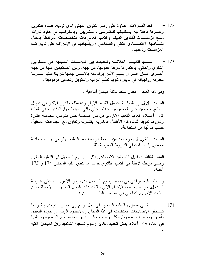- تعد المقاولات، علاوة على رسم النكوين المهنى الذي تؤديه, فضاء للنكوين  $-172$ وطـــرفا فاعلا فيه, باستقبالها للمتمرسين والمندربين, وبانخراطها في عقود شراكة مسع مؤسســات التكوين المهنى والتعليم العالى ذات التخصصات المرتبطة بمجال نشـــاطـها الاقتصــــادي النقنـي والصناعـي ؛ وبإسهامـها فـي الإشراف علـي ندبير تلك المؤسسات ودعمها.
- ســـعيا لتغييـــــر العلاقــــة وتجديدها بين المؤسسات التعليمية, في المستويين  $-173$ الثانوي والعالي, باعتبارها مرفقا عموميا, من جهة, وبين المستفيدين منها من جهة أخـــــري, فـــــإن إقـــــــرار إسهام الأسر يراد منه بـالأساس جعلها شريكا فعليا, ممارسا لحقوقه وواجباته في ندبير وتقويم نظام النربية والنكوين وتحسين مردوديته.

وفي هذا المجال, يجدر نأكيد ثلاثة مبادئ أساسية :

العسبداً الأول, إن الدولـــة نتحمل القسط الأوفر وتضطلع بالدور الأكبر في تمويل النعليم, ونضمن على الخصوص, علاوة على باقى مسؤولياتها, المذكورة في المادة 170 أعــــلاه, تعميم النعليم الإلزامي من سن السادسة حتى متم سن الخامسة عشرة وشروط نمويله لفائدة كل الأطفال المغاربة, بنشارك ونعاون مع الجماعات المحلية, حسب ما لها من استطاعة,

المسبدأ الثاني, لا يحرم أحد من متابعة دراسته بعد التعليم الإلزامي لأسباب مادية محض, إذا ما استوفى الشروط المعرفية لذلك,

ا**لمبدأ الثالث :** تفعيل التضامن الاجتماعي بإقرار رسوم التسجيل في التعليم العالي, وفسي مرحلة لاحقة في النعليم الثانوي حسب ما نتص عليه المادتان 174 و 175 أسفله.

وبسناء عليه, يراعي في تحديد رسوم التسجيل مدى يسر الأسر, بناء على ضريبة الــــدخل, مـع تطبيق مبدأ الإعفاء الآلـي للفئات ذات الدخل المحدود, والإنصــاف بين الفئات الأخر ي, كما يلي في المادنين التاليتـــــــــــين :

علـــي مسنو ي النعليم الثانو ي, في أجل أربع إلى خمس سنوات, وبقدر ما  $-174$ تـــنحقق الإصـلاحات المتضمنة فـي هذا الميثاق وبالأخص, الرفع من جودة التعليم, تأطير ا و تجهيز ا و مضمو نا, و كذا ار ساء مجالس ندبير المؤسسات, المنصوص عليها في المادة 149 أعلاه, يمكن تحديد مقادير رسوم تسجيل التلاميذ وفق المبادئ الآتية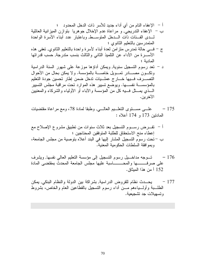175 – علــــي مســــنوى النعلــــيم الـعالــــي, وطبقا لممادة 78، ومع مراعاة مقتضيات المادتين 173 و 174 أعلاه :

الآخر بن.

- 176 تـــوجه مداخـــيل رسوم التسجيل إلى مؤسسة التعليم العالي نفسها, ويشرف على صرفــــــــها والمحـــــــــاسبة عليها مجلس الجامعة المحدث بمقتضى المادة 152 أ من هذا المبثاق.
- 177 يحـــدث نظام للقروض الدراسية, بشراكة بين الدولة والنظام البنكي, يمكن الطلـــبة وأولـــياءهم مـــن أداء رسوم النسجيل بالقطاعين العام والخاص، بشروط وتسهيلات جد تشجيعية.